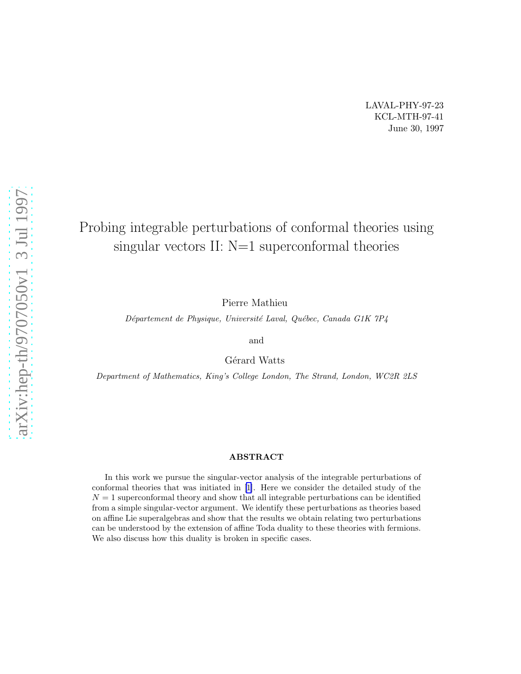# Probing integrable perturbations of conformal theories using singular vectors II: N=1 superconformal theories

Pierre Mathieu

Département de Physique, Université Laval, Québec, Canada G1K 7P4

and

Gérard Watts

Department of Mathematics, King's College London, The Strand, London, WC2R 2LS

#### ABSTRACT

In this work we pursue the singular-vector analysis of the integrable perturbations of conformal theories that was initiated in[[1\]](#page-30-0). Here we consider the detailed study of the  $N = 1$  superconformal theory and show that all integrable perturbations can be identified from a simple singular-vector argument. We identify these perturbations as theories based on affine Lie superalgebras and show that the results we obtain relating two perturbations can be understood by the extension of affine Toda duality to these theories with fermions. We also discuss how this duality is broken in specific cases.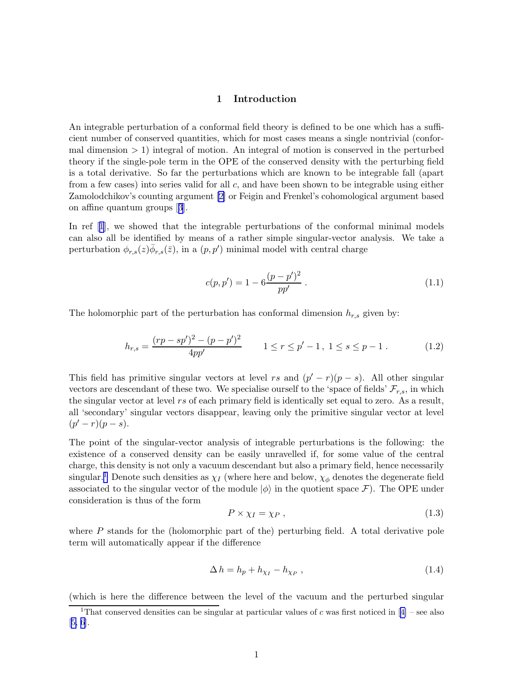#### 1 Introduction

An integrable perturbation of a conformal field theory is defined to be one which has a sufficient number of conserved quantities, which for most cases means a single nontrivial (conformal dimension > 1) integral of motion. An integral of motion is conserved in the perturbed theory if the single-pole term in the OPE of the conserved density with the perturbing field is a total derivative. So far the perturbations which are known to be integrable fall (apart from a few cases) into series valid for all c, and have been shown to be integrable using either Zamolodchikov's counting argument [\[2\]](#page-30-0) or Feigin and Frenkel's cohomological argument based on affine quantum groups[[3](#page-30-0)].

In ref[[1](#page-30-0)], we showed that the integrable perturbations of the conformal minimal models can also all be identified by means of a rather simple singular-vector analysis. We take a perturbation  $\phi_{r,s}(z) \overline{\phi}_{r,s}(\overline{z})$ , in a  $(p, p')$  minimal model with central charge

$$
c(p, p') = 1 - 6 \frac{(p - p')^2}{pp'} \,. \tag{1.1}
$$

The holomorphic part of the perturbation has conformal dimension  $h_{r,s}$  given by:

$$
h_{r,s} = \frac{(rp - sp')^2 - (p - p')^2}{4pp'} \qquad 1 \le r \le p' - 1, \ 1 \le s \le p - 1. \tag{1.2}
$$

This field has primitive singular vectors at level rs and  $(p'-r)(p-s)$ . All other singular vectors are descendant of these two. We specialise ourself to the 'space of fields'  $\mathcal{F}_{r,s}$ , in which the singular vector at level rs of each primary field is identically set equal to zero. As a result, all 'secondary' singular vectors disappear, leaving only the primitive singular vector at level  $(p'-r)(p-s).$ 

The point of the singular-vector analysis of integrable perturbations is the following: the existence of a conserved density can be easily unravelled if, for some value of the central charge, this density is not only a vacuum descendant but also a primary field, hence necessarily singular.<sup>1</sup> Denote such densities as  $\chi_I$  (where here and below,  $\chi_{\phi}$  denotes the degenerate field associated to the singular vector of the module  $|\phi\rangle$  in the quotient space F). The OPE under consideration is thus of the form

$$
P \times \chi_I = \chi_P \,,\tag{1.3}
$$

where  $P$  stands for the (holomorphic part of the) perturbing field. A total derivative pole term will automatically appear if the difference

$$
\Delta h = h_p + h_{\chi_I} - h_{\chi_P} \,,\tag{1.4}
$$

(which is here the difference between the level of the vacuum and the perturbed singular

<sup>&</sup>lt;sup>1</sup>Thatconserved densities can be singular at particular values of c was first noticed in [[4\]](#page-30-0) – see also [[5, 6\]](#page-30-0).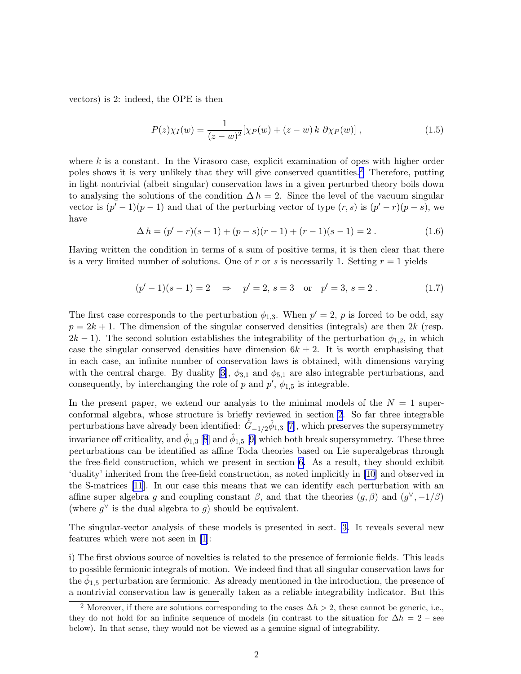vectors) is 2: indeed, the OPE is then

$$
P(z)\chi_I(w) = \frac{1}{(z-w)^2} [\chi_P(w) + (z-w) \, k \, \partial \chi_P(w)] \;, \tag{1.5}
$$

where  $k$  is a constant. In the Virasoro case, explicit examination of opes with higher order poles shows it is very unlikely that they will give conserved quantities.<sup>2</sup> Therefore, putting in light nontrivial (albeit singular) conservation laws in a given perturbed theory boils down to analysing the solutions of the condition  $\Delta h = 2$ . Since the level of the vacuum singular vector is  $(p'-1)(p-1)$  and that of the perturbing vector of type  $(r, s)$  is  $(p'-r)(p-s)$ , we have

$$
\Delta h = (p'-r)(s-1) + (p-s)(r-1) + (r-1)(s-1) = 2.
$$
\n(1.6)

Having written the condition in terms of a sum of positive terms, it is then clear that there is a very limited number of solutions. One of r or s is necessarily 1. Setting  $r = 1$  yields

$$
(p'-1)(s-1) = 2
$$
  $\Rightarrow$   $p' = 2, s = 3$  or  $p' = 3, s = 2$ . (1.7)

The first case corresponds to the perturbation  $\phi_{1,3}$ . When  $p' = 2$ , p is forced to be odd, say  $p = 2k + 1$ . The dimension of the singular conserved densities (integrals) are then 2k (resp.  $2k-1$ ). The second solution establishes the integrability of the perturbation  $\phi_{1,2}$ , in which case the singular conserved densities have dimension  $6k \pm 2$ . It is worth emphasising that in each case, an infinite number of conservation laws is obtained, with dimensions varying withthe central charge. By duality [[3](#page-30-0)],  $\phi_{3,1}$  and  $\phi_{5,1}$  are also integrable perturbations, and consequently, by interchanging the role of  $p$  and  $p'$ ,  $\phi_{1,5}$  is integrable.

In the present paper, we extend our analysis to the minimal models of the  $N = 1$  superconformal algebra, whose structure is briefly reviewed in section [2.](#page-3-0) So far three integrable perturbations have already been identified:  $\hat{G}_{-1/2}\hat{\phi}_{1,3}$  [\[7\]](#page-30-0), which preserves the supersymmetry invariance off criticality, and  $\hat{\phi}_{1,3}$  [\[8](#page-30-0)] and  $\hat{\phi}_{1,5}$  [\[9\]](#page-30-0) which both break supersymmetry. These three perturbations can be identified as affine Toda theories based on Lie superalgebras through the free-field construction, which we present in section [6.](#page-12-0) As a result, they should exhibit 'duality' inherited from the free-field construction, as noted implicitly in [\[10\]](#page-30-0) and observed in the S-matrices [\[11](#page-30-0)]. In our case this means that we can identify each perturbation with an affine super algebra g and coupling constant  $\beta$ , and that the theories  $(g, \beta)$  and  $(g^{\vee}, -1/\beta)$ (where  $g^{\vee}$  is the dual algebra to g) should be equivalent.

The singular-vector analysis of these models is presented in sect. [3.](#page-4-0) It reveals several new features which were not seen in [\[1\]](#page-30-0):

i) The first obvious source of novelties is related to the presence of fermionic fields. This leads to possible fermionic integrals of motion. We indeed find that all singular conservation laws for the  $\hat{\phi}_{1,5}$  perturbation are fermionic. As already mentioned in the introduction, the presence of a nontrivial conservation law is generally taken as a reliable integrability indicator. But this

<sup>&</sup>lt;sup>2</sup> Moreover, if there are solutions corresponding to the cases  $\Delta h > 2$ , these cannot be generic, i.e., they do not hold for an infinite sequence of models (in contrast to the situation for  $\Delta h = 2$  – see below). In that sense, they would not be viewed as a genuine signal of integrability.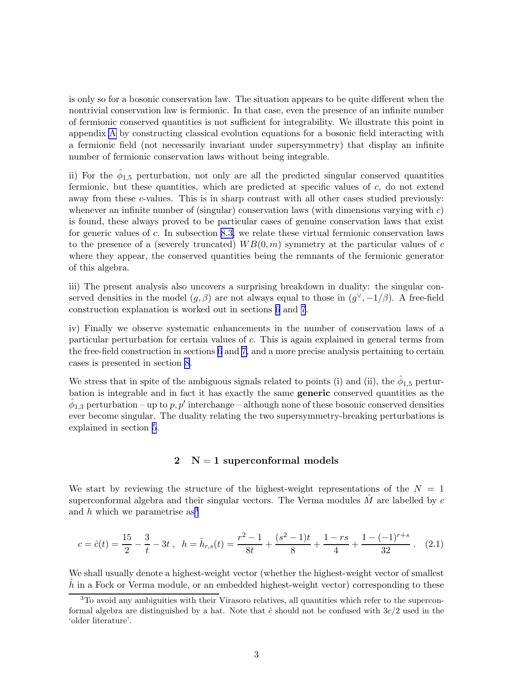<span id="page-3-0"></span>is only so for a bosonic conservation law. The situation appears to be quite different when the nontrivial conservation law is fermionic. In that case, even the presence of an infinite number of fermionic conserved quantities is not sufficient for integrability. We illustrate this point in appendix [A](#page-24-0) by constructing classical evolution equations for a bosonic field interacting with a fermionic field (not necessarily invariant under supersymmetry) that display an infinite number of fermionic conservation laws without being integrable.

ii) For the  $\hat{\phi}_{1,5}$  perturbation, not only are all the predicted singular conserved quantities fermionic, but these quantities, which are predicted at specific values of  $c$ , do not extend away from these c-values. This is in sharp contrast with all other cases studied previously: whenever an infinite number of (singular) conservation laws (with dimensions varying with  $c$ ) is found, these always proved to be particular cases of genuine conservation laws that exist for generic values of c. In subsection [8.3,](#page-21-0) we relate these virtual fermionic conservation laws to the presence of a (severely truncated)  $WB(0, m)$  symmetry at the particular values of c where they appear, the conserved quantities being the remnants of the fermionic generator of this algebra.

iii) The present analysis also uncovers a surprising breakdown in duality: the singular conserved densities in the model  $(g, \beta)$  are not always equal to those in  $(g^{\vee}, -1/\beta)$ . A free-field construction explanation is worked out in sections [6](#page-12-0) and [7](#page-18-0).

iv) Finally we observe systematic enhancements in the number of conservation laws of a particular perturbation for certain values of c. This is again explained in general terms from the free-field construction in sections [6](#page-12-0) and [7,](#page-18-0) and a more precise analysis pertaining to certain cases is presented in section [8.](#page-20-0)

We stress that in spite of the ambiguous signals related to points (i) and (ii), the  $\hat{\phi}_{1,5}$  perturbation is integrable and in fact it has exactly the same generic conserved quantities as the  $\hat{\phi}_{1,3}$  perturbation – up to  $p, p'$  interchange – although none of these bosonic conserved densities ever become singular. The duality relating the two supersymmetry-breaking perturbations is explained in section [5](#page-11-0).

## $2 \text{ N} = 1 \text{ superconformal models}$

We start by reviewing the structure of the highest-weight representations of the  $N = 1$ superconformal algebra and their singular vectors. The Verma modules  $\hat{M}$  are labelled by c and h which we parametrise  $as<sup>3</sup>$ 

$$
c = \hat{c}(t) = \frac{15}{2} - \frac{3}{t} - 3t \;, \quad h = \hat{h}_{r,s}(t) = \frac{r^2 - 1}{8t} + \frac{(s^2 - 1)t}{8} + \frac{1 - rs}{4} + \frac{1 - (-1)^{r+s}}{32} \;. \tag{2.1}
$$

We shall usually denote a highest-weight vector (whether the highest-weight vector of smallest  $\hbar$  in a Fock or Verma module, or an embedded highest-weight vector) corresponding to these

 $3$ To avoid any ambiguities with their Virasoro relatives, all quantities which refer to the superconformal algebra are distinguished by a hat. Note that  $\hat{c}$  should not be confused with  $3c/2$  used in the 'older literature'.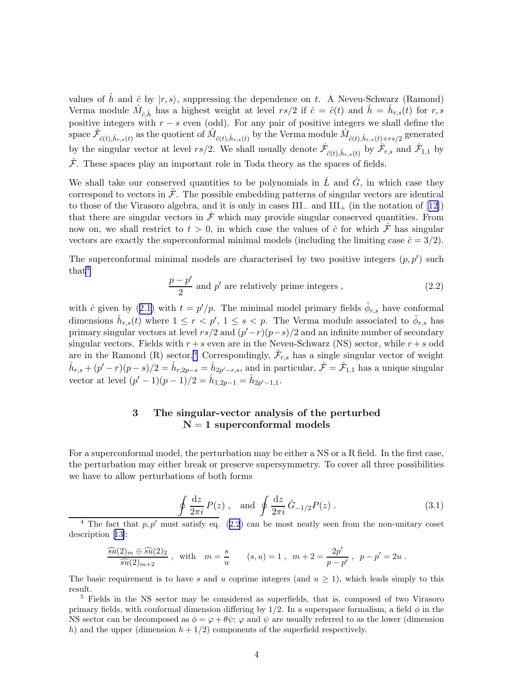<span id="page-4-0"></span>values of  $\hat{h}$  and  $\hat{c}$  by  $|r, s\rangle$ , suppressing the dependence on t. A Neveu-Schwarz (Ramond) Verma module  $\hat{M}_{\hat{c},\hat{h}}$  has a highest weight at level  $rs/2$  if  $\hat{c} = \hat{c}(t)$  and  $\hat{h} = \hat{h}_{r,s}(t)$  for  $r, s$ positive integers with  $r - s$  even (odd). For any pair of positive integers we shall define the  $\hat{\mathcal{F}}_{\hat{c}(t),\hat{h}_{r,s}(t)}$  as the quotient of  $\hat{M}_{\hat{c}(t),\hat{h}_{r,s}(t)}$  by the Verma module  $\hat{M}_{\hat{c}(t),\hat{h}_{r,s}(t)+rs/2}$  generated by the singular vector at level  $rs/2$ . We shall usually denote  $\hat{\mathcal{F}}_{\hat{c}(t),\hat{h}_{r,s}(t)}$  by  $\hat{\mathcal{F}}_{r,s}$  and  $\hat{\mathcal{F}}_{1,1}$  by  $\hat{\mathcal{F}}$ . These spaces play an important role in Toda theory as the spaces of fields.

We shall take our conserved quantities to be polynomials in  $\hat{L}$  and  $\hat{G}$ , in which case they correspond to vectors in  $\hat{\mathcal{F}}$ . The possible embedding patterns of singular vectors are identical tothose of the Virasoro algebra, and it is only in cases III<sub>−</sub> and III<sub>+</sub> (in the notation of [[12\]](#page-30-0)) that there are singular vectors in  $\hat{\mathcal{F}}$  which may provide singular conserved quantities. From now on, we shall restrict to  $t > 0$ , in which case the values of  $\hat{c}$  for which  $\hat{\mathcal{F}}$  has singular vectors are exactly the superconformal minimal models (including the limiting case  $\hat{c} = 3/2$ ).

The superconformal minimal models are characterised by two positive integers  $(p, p')$  such  $that<sup>4</sup>$ 

$$
\frac{p-p'}{2}
$$
 and p' are relatively prime integers , (2.2)

with $\hat{c}$  given by ([2.1\)](#page-3-0) with  $t = p'/p$ . The minimal model primary fields  $\hat{\phi}_{r,s}$  have conformal dimensions  $\hat{h}_{r,s}(t)$  where  $1 \leq r < p'$ ,  $1 \leq s < p$ . The Verma module associated to  $\hat{\phi}_{r,s}$  has primary singular vectors at level  $rs/2$  and  $(p'-r)(p-s)/2$  and an infinite number of secondary singular vectors. Fields with  $r + s$  even are in the Neveu-Schwarz (NS) sector, while  $r + s$  odd are in the Ramond (R) sector.<sup>5</sup> Correspondingly,  $\hat{\mathcal{F}}_{r,s}$  has a single singular vector of weight  $\hat{h}_{r,s} + (p'-r)(p-s)/2 = \hat{h}_{r,2p-s} = \hat{h}_{2p'-r,s}$ , and in particular,  $\hat{\mathcal{F}} = \hat{\mathcal{F}}_{1,1}$  has a unique singular vector at level  $(p'-1)(p-1)/2 = \hat{h}_{1,2p-1} = \hat{h}_{2p'-1,1}$ .

## 3 The singular-vector analysis of the perturbed  $N = 1$  superconformal models

For a superconformal model, the perturbation may be either a NS or a R field. In the first case, the perturbation may either break or preserve supersymmetry. To cover all three possibilities we have to allow perturbations of both forms

$$
\oint \frac{\mathrm{d}z}{2\pi i} P(z) , \quad \text{and} \quad \oint \frac{\mathrm{d}z}{2\pi i} \hat{G}_{-1/2} P(z) . \tag{3.1}
$$

<sup>4</sup> The fact that  $p, p'$  must satisfy eq. (2.2) can be most neatly seen from the non-unitary coset description[[13\]](#page-30-0):

$$
\frac{\widehat{su}(2)_m \oplus \widehat{su}(2)_2}{\widehat{su}(2)_{m+2}}, \text{ with } m = \frac{s}{u} \qquad (s, u) = 1, \ m + 2 = \frac{2p'}{p - p'}, \ p - p' = 2u.
$$

The basic requirement is to have s and u coprime integers (and  $u \ge 1$ ), which leads simply to this result.

<sup>5</sup> Fields in the NS sector may be considered as superfields, that is, composed of two Virasoro primary fields, with conformal dimension differing by  $1/2$ . In a superspace formalism, a field  $\phi$  in the NS sector can be decomposed as  $\phi = \varphi + \theta \psi$ ;  $\varphi$  and  $\psi$  are usually referred to as the lower (dimension h) and the upper (dimension  $h + 1/2$ ) components of the superfield respectively.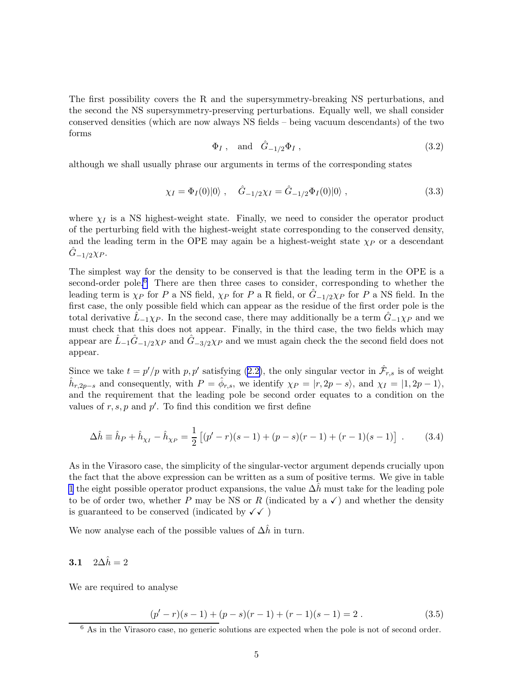The first possibility covers the R and the supersymmetry-breaking NS perturbations, and the second the NS supersymmetry-preserving perturbations. Equally well, we shall consider conserved densities (which are now always NS fields – being vacuum descendants) of the two forms

$$
\Phi_I, \quad \text{and} \quad \hat{G}_{-1/2}\Phi_I, \tag{3.2}
$$

although we shall usually phrase our arguments in terms of the corresponding states

$$
\chi_I = \Phi_I(0)|0\rangle \ , \quad \hat{G}_{-1/2}\chi_I = \hat{G}_{-1/2}\Phi_I(0)|0\rangle \ , \tag{3.3}
$$

where  $\chi_I$  is a NS highest-weight state. Finally, we need to consider the operator product of the perturbing field with the highest-weight state corresponding to the conserved density, and the leading term in the OPE may again be a highest-weight state  $\chi_P$  or a descendant  $G_{-1/2}\chi_{P}$ .

The simplest way for the density to be conserved is that the leading term in the OPE is a second-order pole.<sup>6</sup> There are then three cases to consider, corresponding to whether the leading term is  $\chi_P$  for P a NS field,  $\chi_P$  for P a R field, or  $\hat{G}_{-1/2}\chi_P$  for P a NS field. In the first case, the only possible field which can appear as the residue of the first order pole is the total derivative  $\tilde{L}_{-1}\chi_{P}$ . In the second case, there may additionally be a term  $\tilde{G}_{-1}\chi_{P}$  and we must check that this does not appear. Finally, in the third case, the two fields which may appear are  $\hat{L}_{-1}\hat{G}_{-1/2}\chi_P$  and  $\hat{G}_{-3/2}\chi_P$  and we must again check the the second field does not appear.

Since we take  $t = p'/p$  with  $p, p'$  satisfying [\(2.2\)](#page-4-0), the only singular vector in  $\hat{\mathcal{F}}_{r,s}$  is of weight  $\hat{h}_{r,2p-s}$  and consequently, with  $P = \hat{\phi}_{r,s}$ , we identify  $\chi_P = |r, 2p-s\rangle$ , and  $\chi_I = |1, 2p-1\rangle$ , and the requirement that the leading pole be second order equates to a condition on the values of  $r, s, p$  and  $p'$ . To find this condition we first define

$$
\Delta \hat{h} \equiv \hat{h}_P + \hat{h}_{\chi_I} - \hat{h}_{\chi_P} = \frac{1}{2} \left[ (p' - r)(s - 1) + (p - s)(r - 1) + (r - 1)(s - 1) \right] \ . \tag{3.4}
$$

As in the Virasoro case, the simplicity of the singular-vector argument depends crucially upon the fact that the above expression can be written as a sum of positive terms. We give in table [1](#page-6-0) the eight possible operator product expansions, the value  $\Delta h$  must take for the leading pole to be of order two, whether P may be NS or R (indicated by a  $\checkmark$ ) and whether the density is guaranteed to be conserved (indicated by  $\checkmark\checkmark$ )

We now analyse each of the possible values of  $\Delta \hat{h}$  in turn.

## 3.1  $2\Delta \hat{h} = 2$

We are required to analyse

$$
(p'-r)(s-1) + (p-s)(r-1) + (r-1)(s-1) = 2.
$$
\n(3.5)

<sup>&</sup>lt;sup>6</sup> As in the Virasoro case, no generic solutions are expected when the pole is not of second order.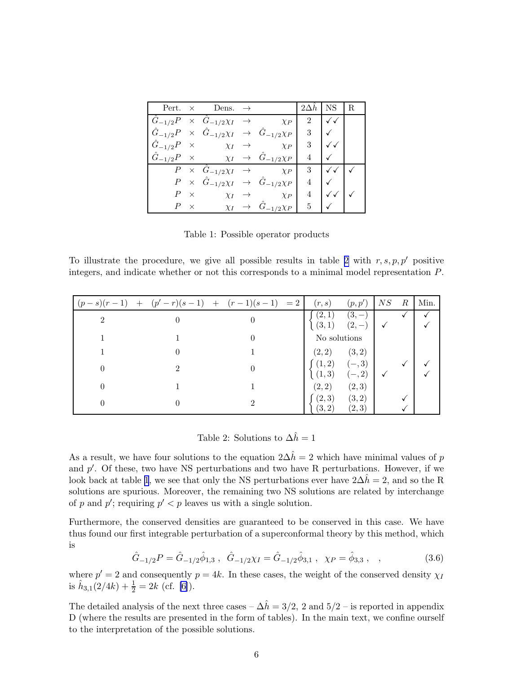<span id="page-6-0"></span>

|                                |            | Pert. $\times$ Dens. $\rightarrow$                        |                                                                                | $2\Delta h$ | NS. | R |
|--------------------------------|------------|-----------------------------------------------------------|--------------------------------------------------------------------------------|-------------|-----|---|
|                                |            | $\hat{G}_{-1/2}P \times \hat{G}_{-1/2}\chi_I \rightarrow$ | $\chi_P$                                                                       | $2^{\circ}$ |     |   |
|                                |            |                                                           | $\hat{G}_{-1/2}P \times \hat{G}_{-1/2}\chi_I \rightarrow \hat{G}_{-1/2}\chi_P$ | 3           |     |   |
| $\hat{G}_{-1/2}P \quad \times$ |            | $\chi_I \rightarrow$                                      | $\chi_{P}$                                                                     | 3           |     |   |
|                                |            |                                                           | $\hat{G}_{-1/2}P \times \chi_I \rightarrow \hat{G}_{-1/2}\chi_P$               | 4           |     |   |
|                                |            | $\overline{P} \times \hat{G}_{-1/2}\chi_I \rightarrow$    | $\chi_P$                                                                       | 3           |     |   |
|                                |            |                                                           | $P \times \hat{G}_{-1/2}\chi_I \rightarrow \hat{G}_{-1/2}\chi_P$               | 4           |     |   |
|                                | $P \times$ | $\chi_I \rightarrow$                                      | $\chi_P$                                                                       | 4           |     |   |
|                                | $\times$   | $\chi_I \rightarrow$                                      | $\hat{G}_{-1/2}\chi_{P}$                                                       | 5           |     |   |

Table 1: Possible operator products

To illustrate the procedure, we give all possible results in table 2 with  $r, s, p, p'$  positive integers, and indicate whether or not this corresponds to a minimal model representation P.

|                             | $(p-s)(r-1)$ + $(p'-r)(s-1)$ + $(r-1)(s-1)$ = 2 | (r,s)           | (p, p')                            | NS | R | Min. |
|-----------------------------|-------------------------------------------------|-----------------|------------------------------------|----|---|------|
| $\mathcal{D}_{\mathcal{L}}$ | $\theta$                                        | (2,1)           | $(3,-)$<br>$(3,1)$ $(2,-)$         |    |   |      |
|                             |                                                 | No solutions    |                                    |    |   |      |
|                             |                                                 | (2,2)           | (3, 2)                             |    |   |      |
|                             |                                                 |                 | $(1,2)$ $(-,3)$<br>$(1,3)$ $(-,2)$ |    |   |      |
|                             |                                                 | (2, 2)          | (2, 3)                             |    |   |      |
|                             |                                                 | (2,3)<br>(3, 2) | (3, 2)<br>(2,3)                    |    |   |      |

Table 2: Solutions to  $\Delta \hat{h} = 1$ 

As a result, we have four solutions to the equation  $2\Delta\hat{h} = 2$  which have minimal values of p and  $p'$ . Of these, two have NS perturbations and two have R perturbations. However, if we look back at table 1, we see that only the NS perturbations ever have  $2\Delta h = 2$ , and so the R solutions are spurious. Moreover, the remaining two NS solutions are related by interchange of p and p'; requiring  $p' < p$  leaves us with a single solution.

Furthermore, the conserved densities are guaranteed to be conserved in this case. We have thus found our first integrable perturbation of a superconformal theory by this method, which is

> $\hat{G}_{-1/2}P=\hat{G}_{-1/2}\hat{\phi}_{1,3}\ ,\ \ \hat{G}_{-1/2}\chi_I=\hat{G}_{-1/2}\hat{\phi}_{3,1}\ ,\ \ \chi_P=\hat{\phi}$  $(3.6)$

where  $p' = 2$  and consequently  $p = 4k$ . In these cases, the weight of the conserved density  $\chi_{I}$ is  $\hat{h}_{3,1}(2/4k) + \frac{1}{2} = 2k$  (cf. [\[6\]](#page-30-0)).

The detailed analysis of the next three cases –  $\Delta \hat{h} = 3/2$ , 2 and  $5/2$  – is reported in appendix D (where the results are presented in the form of tables). In the main text, we confine ourself to the interpretation of the possible solutions.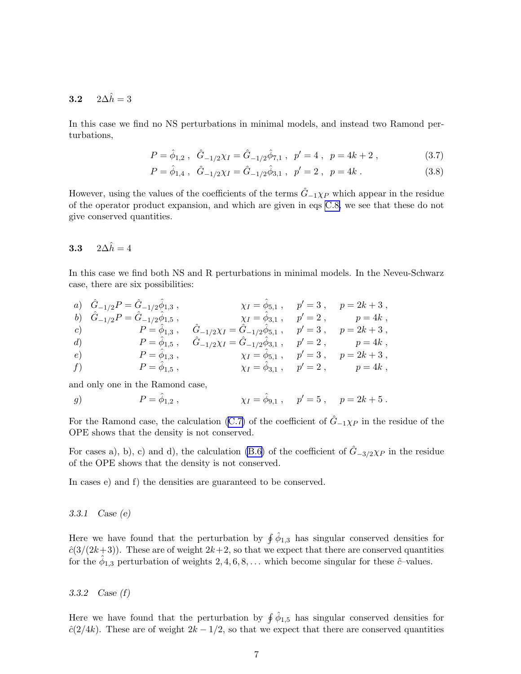## 3.2  $2\Delta\hat{h}=3$

In this case we find no NS perturbations in minimal models, and instead two Ramond perturbations,

$$
P = \hat{\phi}_{1,2} , \quad \hat{G}_{-1/2} \chi_I = \hat{G}_{-1/2} \hat{\phi}_{7,1} , \quad p' = 4 , \quad p = 4k + 2 , \tag{3.7}
$$

$$
P = \hat{\phi}_{1,4} , \quad \hat{G}_{-1/2} \chi_I = \hat{G}_{-1/2} \hat{\phi}_{3,1} , \quad p' = 2 , \quad p = 4k . \tag{3.8}
$$

However, using the values of the coefficients of the terms  $\hat{G}_{-1}\chi_{P}$  which appear in the residue of the operator product expansion, and which are given in eqs [C.8,](#page-28-0) we see that these do not give conserved quantities.

## 3.3  $2\Delta \hat{h} = 4$

In this case we find both NS and R perturbations in minimal models. In the Neveu-Schwarz case, there are six possibilities:

|            | a) $\hat{G}_{-1/2}P = \hat{G}_{-1/2}\hat{\phi}_{1,3}$ , |                                                                                                                 | $\chi_I = \phi_{5,1}$ , $p' = 3$ , $p = 2k + 3$ , |
|------------|---------------------------------------------------------|-----------------------------------------------------------------------------------------------------------------|---------------------------------------------------|
|            |                                                         | b) $\hat{G}_{-1/2}P = \hat{G}_{-1/2}\hat{\phi}_{1,5}$ , $\chi_I = \phi_{3,1}$ , $p' = 2$ , $p = 4k$ ,           |                                                   |
|            |                                                         | c) $P = \hat{\phi}_{1,3}$ , $\hat{G}_{-1/2}\chi_I = \hat{G}_{-1/2}\hat{\phi}_{5,1}$ , $p' = 3$ , $p = 2k + 3$ , |                                                   |
| d)         |                                                         | $P = \phi_{1,5}$ , $\ddot{G}_{-1/2}\chi_I = \ddot{G}_{-1/2}\phi_{3,1}$ , $p' = 2$ , $p = 4k$ ,                  |                                                   |
| $\epsilon$ |                                                         | $P = \phi_{1,3}$ , $\chi_I = \phi_{5,1}$ , $p' = 3$ , $p = 2k + 3$ ,                                            |                                                   |
| f)         | $P=\phi_{1,5}$ ,                                        | $\chi_I = \phi_{3,1} , \quad p' = 2 , \quad p = 4k ,$                                                           |                                                   |

and only one in the Ramond case,

g)  $P = \hat{\phi}_{1,2}$ , 1,2,  $\chi_I = \hat{\phi}_{9,1}$ ,  $p' = 5$ ,  $p = 2k + 5$ .

For the Ramond case, the calculation [\(C.7\)](#page-28-0) of the coefficient of  $\hat{G}_{-1}\chi_{P}$  in the residue of the OPE shows that the density is not conserved.

For cases a), b), c) and d), the calculation [\(B.6\)](#page-27-0) of the coefficient of  $G_{-3/2}\chi_P$  in the residue of the OPE shows that the density is not conserved.

In cases e) and f) the densities are guaranteed to be conserved.

#### 3.3.1 Case (e)

Here we have found that the perturbation by  $\oint \hat{\phi}_{1,3}$  has singular conserved densities for  $\hat{c}(3/(2k+3))$ . These are of weight  $2k+2$ , so that we expect that there are conserved quantities for the  $\hat{\phi}_{1,3}$  perturbation of weights 2, 4, 6, 8, ... which become singular for these  $\hat{c}$ -values.

3.3.2 Case (f)

Here we have found that the perturbation by  $\oint \hat{\phi}_{1,5}$  has singular conserved densities for  $\hat{c}(2/4k)$ . These are of weight  $2k - 1/2$ , so that we expect that there are conserved quantities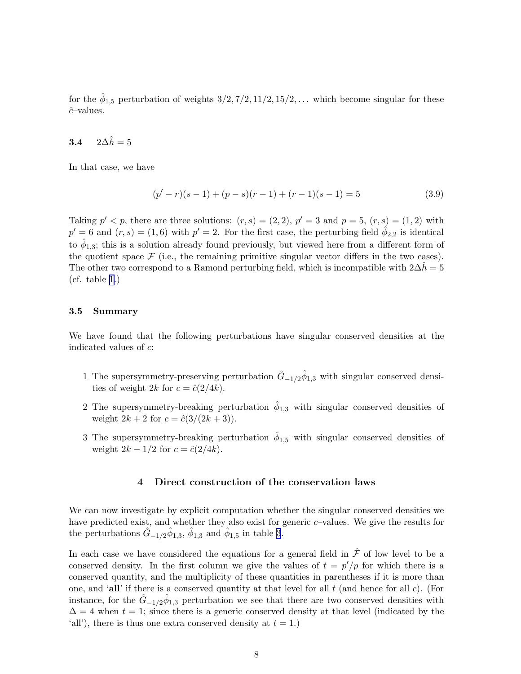<span id="page-8-0"></span>for the  $\hat{\phi}_{1,5}$  perturbation of weights  $3/2, 7/2, 11/2, 15/2, \ldots$  which become singular for these cˆ–values.

## 3.4  $2\Delta \hat{h} = 5$

In that case, we have

$$
(p'-r)(s-1) + (p-s)(r-1) + (r-1)(s-1) = 5 \tag{3.9}
$$

Taking  $p' < p$ , there are three solutions:  $(r, s) = (2, 2), p' = 3$  and  $p = 5, (r, s) = (1, 2)$  with  $p' = 6$  and  $(r, s) = (1, 6)$  with  $p' = 2$ . For the first case, the perturbing field  $\hat{\phi}_{2,2}$  is identical to  $\hat{\phi}_{1,3}$ ; this is a solution already found previously, but viewed here from a different form of the quotient space  $\mathcal F$  (i.e., the remaining primitive singular vector differs in the two cases). The other two correspond to a Ramond perturbing field, which is incompatible with  $2\Delta\hat{h} = 5$ (cf. table [1.](#page-6-0))

#### 3.5 Summary

We have found that the following perturbations have singular conserved densities at the indicated values of c:

- 1 The supersymmetry-preserving perturbation  $\hat{G}_{-1/2}\hat{\phi}_{1,3}$  with singular conserved densities of weight 2k for  $c = \hat{c}(2/4k)$ .
- 2 The supersymmetry-breaking perturbation  $\hat{\phi}_{1,3}$  with singular conserved densities of weight  $2k + 2$  for  $c = \frac{\hat{c}(3/(2k+3))}{k}$ .
- 3 The supersymmetry-breaking perturbation  $\hat{\phi}_{1,5}$  with singular conserved densities of weight  $2k - 1/2$  for  $c = \hat{c}(2/4k)$ .

### 4 Direct construction of the conservation laws

We can now investigate by explicit computation whether the singular conserved densities we have predicted exist, and whether they also exist for generic c–values. We give the results for the perturbations  $\hat{G}_{-1/2} \hat{\phi}_{1,3}$ ,  $\hat{\phi}_{1,3}$  and  $\hat{\phi}_{1,5}$  in table [3](#page-10-0).

In each case we have considered the equations for a general field in  $\hat{\mathcal{F}}$  of low level to be a conserved density. In the first column we give the values of  $t = p'/p$  for which there is a conserved quantity, and the multiplicity of these quantities in parentheses if it is more than one, and 'all' if there is a conserved quantity at that level for all  $t$  (and hence for all  $c$ ). (For instance, for the  $\hat{G}_{-1/2}\hat{\phi}_{1,3}$  perturbation we see that there are two conserved densities with  $\Delta = 4$  when  $t = 1$ ; since there is a generic conserved density at that level (indicated by the 'all'), there is thus one extra conserved density at  $t = 1$ .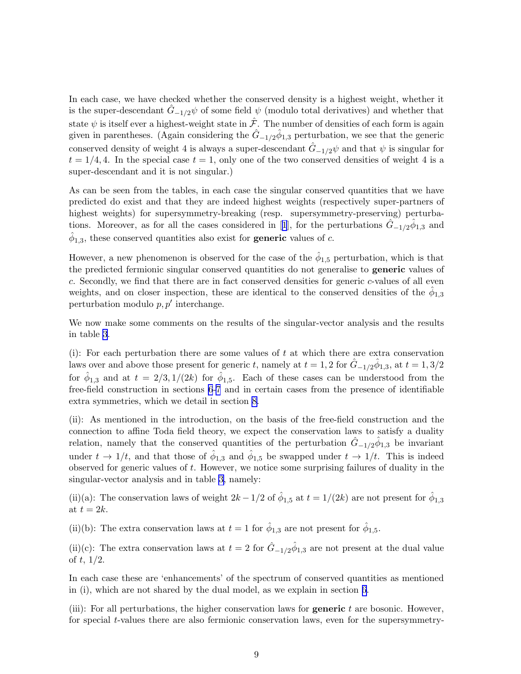In each case, we have checked whether the conserved density is a highest weight, whether it is the super-descendant  $\hat{G}_{-1/2}\psi$  of some field  $\psi$  (modulo total derivatives) and whether that state  $\psi$  is itself ever a highest-weight state in  $\hat{\mathcal{F}}$ . The number of densities of each form is again given in parentheses. (Again considering the  $\hat{G}_{-1/2} \hat{\phi}_{1,3}$  perturbation, we see that the generic conserved density of weight 4 is always a super-descendant  $\hat{G}_{-1/2}\psi$  and that  $\psi$  is singular for  $t = 1/4, 4$ . In the special case  $t = 1$ , only one of the two conserved densities of weight 4 is a super-descendant and it is not singular.)

As can be seen from the tables, in each case the singular conserved quantities that we have predicted do exist and that they are indeed highest weights (respectively super-partners of highest weights) for supersymmetry-breaking (resp. supersymmetry-preserving) perturba-tions.Moreover, as for all the cases considered in [[1](#page-30-0)], for the perturbations  $\hat{G}_{-1/2}\hat{\phi}_{1,3}$  and  $\hat{\phi}_{1,3}$ , these conserved quantities also exist for **generic** values of c.

However, a new phenomenon is observed for the case of the  $\hat{\phi}_{1,5}$  perturbation, which is that the predicted fermionic singular conserved quantities do not generalise to **generic** values of c. Secondly, we find that there are in fact conserved densities for generic c-values of all even weights, and on closer inspection, these are identical to the conserved densities of the  $\hat{\phi}_{1,3}$ perturbation modulo  $p, p'$  interchange.

We now make some comments on the results of the singular-vector analysis and the results in table [3](#page-10-0).

(i): For each perturbation there are some values of  $t$  at which there are extra conservation laws over and above those present for generic t, namely at  $t = 1, 2$  for  $\hat{G}_{-1/2} \hat{\phi}_{1,3}$ , at  $t = 1, 3/2$ for  $\hat{\phi}_{1,3}$  and at  $t = 2/3, 1/(2k)$  for  $\hat{\phi}_{1,5}$ . Each of these cases can be understood from the free-field construction in sections [6](#page-12-0)[-7](#page-18-0) and in certain cases from the presence of identifiable extra symmetries, which we detail in section [8.](#page-20-0)

(ii): As mentioned in the introduction, on the basis of the free-field construction and the connection to affine Toda field theory, we expect the conservation laws to satisfy a duality relation, namely that the conserved quantities of the perturbation  $\hat{G}_{-1/2}\hat{\phi}_{1,3}$  be invariant under  $t \to 1/t$ , and that those of  $\hat{\phi}_{1,3}$  and  $\hat{\phi}_{1,5}$  be swapped under  $t \to 1/t$ . This is indeed observed for generic values of  $t$ . However, we notice some surprising failures of duality in the singular-vector analysis and in table [3,](#page-10-0) namely:

(ii)(a): The conservation laws of weight  $2k - 1/2$  of  $\hat{\phi}_{1,5}$  at  $t = 1/(2k)$  are not present for  $\hat{\phi}_{1,3}$ at  $t = 2k$ .

(ii)(b): The extra conservation laws at  $t = 1$  for  $\hat{\phi}_{1,3}$  are not present for  $\hat{\phi}_{1,5}$ .

(ii)(c): The extra conservation laws at  $t = 2$  for  $\hat{G}_{-1/2}\hat{\phi}_{1,3}$  are not present at the dual value of  $t$ ,  $1/2$ .

In each case these are 'enhancements' of the spectrum of conserved quantities as mentioned in (i), which are not shared by the dual model, as we explain in section [6.](#page-12-0)

(iii): For all perturbations, the higher conservation laws for **generic**  $t$  are bosonic. However, for special t-values there are also fermionic conservation laws, even for the supersymmetry-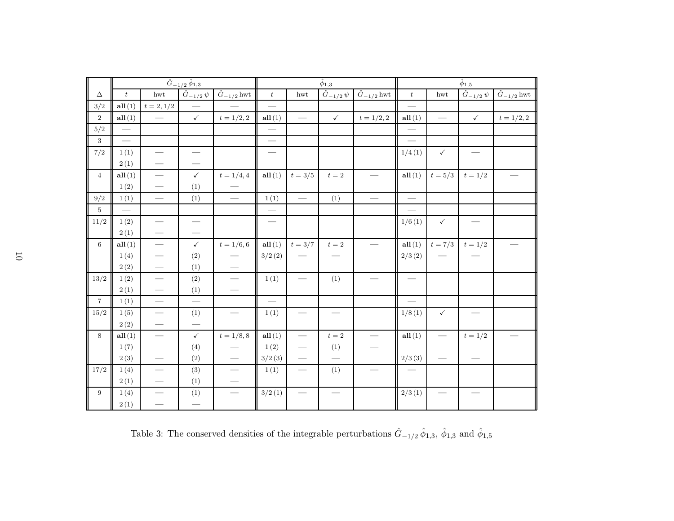<span id="page-10-0"></span>

|                  |                          |                               | $\overline{\hat{G}_{-1/2}\,\hat{\phi}_{1,3}}$ |                      | $\hat{\phi}_{1,3}$       |                                 |                                 |                                 | $\hat{\phi}_{1,5}$  |                          |                                   |                      |
|------------------|--------------------------|-------------------------------|-----------------------------------------------|----------------------|--------------------------|---------------------------------|---------------------------------|---------------------------------|---------------------|--------------------------|-----------------------------------|----------------------|
| $\Delta$         | $\boldsymbol{t}$         | $_{\mathrm{hwt}}$             | $\hat{G}_{-1/2}\,\psi$                        | $\hat{G}_{-1/2}$ hwt | $\boldsymbol{t}$         | hwt                             | $\hat{G}_{-\frac{1}{2}}\psi$    | $\overline{\hat{G}}_{-1/2}$ hwt | $\boldsymbol{t}$    | hwt                      | $\hat{G}_{-1/2}\psi$              | $\hat{G}_{-1/2}$ hwt |
| 3/2              | all(1)                   | $t=2,1/2$                     | $\overline{\phantom{0}}$                      |                      |                          |                                 |                                 |                                 |                     |                          |                                   |                      |
| $\overline{2}$   | all(1)                   |                               | $\checkmark$                                  | $t = 1/2, 2$         | all(1)                   | $\overbrace{\qquad \qquad }^{}$ | $\checkmark$                    | $t = 1/2, 2$                    | all(1)              | $\overline{\phantom{0}}$ | $\checkmark$                      | $t = 1/2, 2$         |
| 5/2              |                          |                               |                                               |                      |                          |                                 |                                 |                                 |                     |                          |                                   |                      |
| $\sqrt{3}$       | $\overline{\phantom{0}}$ |                               |                                               |                      |                          |                                 |                                 |                                 |                     |                          |                                   |                      |
| 7/2              | 1(1)                     |                               | $\overline{\phantom{0}}$                      |                      |                          |                                 |                                 |                                 | 1/4(1)              | $\checkmark$             |                                   |                      |
|                  | 2(1)                     |                               |                                               |                      |                          |                                 |                                 |                                 |                     |                          |                                   |                      |
| $\overline{4}$   | all(1)                   | $\overbrace{\hspace{15em}}$   | $\checkmark$                                  | $t = 1/4, 4$         | all(1)                   | $t = 3/5$                       | $t=2\,$                         |                                 | all(1)              | $t=5/3$                  | $t = 1/2$                         |                      |
|                  | 1(2)                     |                               | (1)                                           |                      |                          |                                 |                                 |                                 |                     |                          |                                   |                      |
| 9/2              | 1(1)                     |                               | (1)                                           |                      | 1(1)                     |                                 | (1)                             |                                 |                     |                          |                                   |                      |
| $\,$ 5 $\,$      | $\frac{1}{1}$            |                               |                                               |                      |                          |                                 |                                 |                                 |                     |                          |                                   |                      |
| 11/2             | 1(2)                     |                               | $\overbrace{\qquad \qquad }^{ }$              |                      |                          |                                 |                                 |                                 | 1/6(1)              | $\checkmark$             | $\overbrace{\phantom{123221111}}$ |                      |
|                  | 2(1)                     |                               |                                               |                      |                          |                                 |                                 |                                 |                     |                          |                                   |                      |
| $6\phantom{1}$   | all(1)                   |                               | $\checkmark$                                  | $t = 1/6, 6$         | all(1)                   | $t = 3/7$                       | $t=2\,$                         |                                 | all(1)              | $t = 7/3$                | $t = 1/2$                         |                      |
|                  | 1(4)                     | $\overbrace{\phantom{aaaaa}}$ | (2)                                           |                      | 3/2(2)                   |                                 |                                 |                                 | 2/3(2)              |                          |                                   |                      |
|                  | 2(2)                     | $\overline{\phantom{m}}$      | (1)                                           |                      |                          |                                 |                                 |                                 |                     |                          |                                   |                      |
| 13/2             | 1(2)                     |                               | (2)                                           |                      | 1(1)                     |                                 | (1)                             | $\equiv$                        |                     |                          |                                   |                      |
|                  | 2(1)                     | $\overbrace{\hspace{25mm}}$   | (1)                                           |                      |                          |                                 |                                 |                                 |                     |                          |                                   |                      |
| $\overline{7}$   | 1(1)                     | $\overline{\phantom{0}}$      |                                               |                      | $\overline{\phantom{0}}$ |                                 |                                 |                                 |                     |                          |                                   |                      |
| 15/2             | 1(5)                     |                               | (1)                                           |                      | 1(1)                     |                                 | $\overbrace{\qquad \qquad }^{}$ |                                 | 1/8(1)              | $\checkmark$             |                                   |                      |
|                  | 2(2)                     |                               |                                               |                      |                          |                                 |                                 |                                 |                     |                          |                                   |                      |
| $8\,$            | all(1)                   |                               | $\checkmark$                                  | $t = 1/8, 8$         | all(1)                   |                                 | $t=2$                           |                                 | all(1)              |                          | $t=1/2$                           |                      |
|                  | 1(7)                     |                               | (4)                                           |                      | 1(2)                     |                                 | (1)                             |                                 |                     |                          |                                   |                      |
|                  | 2(3)                     |                               | (2)                                           |                      | 3/2(3)                   | $\overline{\phantom{m}}$        |                                 |                                 | $2/3\left(3\right)$ |                          |                                   |                      |
| 17/2             | 1(4)                     |                               | (3)                                           |                      | 1(1)                     |                                 | (1)                             |                                 |                     |                          |                                   |                      |
|                  | 2(1)                     |                               | (1)                                           |                      |                          |                                 |                                 |                                 |                     |                          |                                   |                      |
| $\boldsymbol{9}$ | 1(4)                     | $\overline{\phantom{0}}$      | (1)                                           |                      | 3/2(1)                   | $\overline{\phantom{0}}$        |                                 |                                 | 2/3(1)              |                          |                                   |                      |
|                  | 2(1)                     |                               | $\overline{\phantom{a}}$                      |                      |                          |                                 |                                 |                                 |                     |                          |                                   |                      |

Table 3: The conserved densities of the integrable perturbations  $\hat{G}_{-1/2} \hat{\phi}_{1,3}$ ,  $\hat{\phi}_{1,3}$  and  $\hat{\phi}_{1,5}$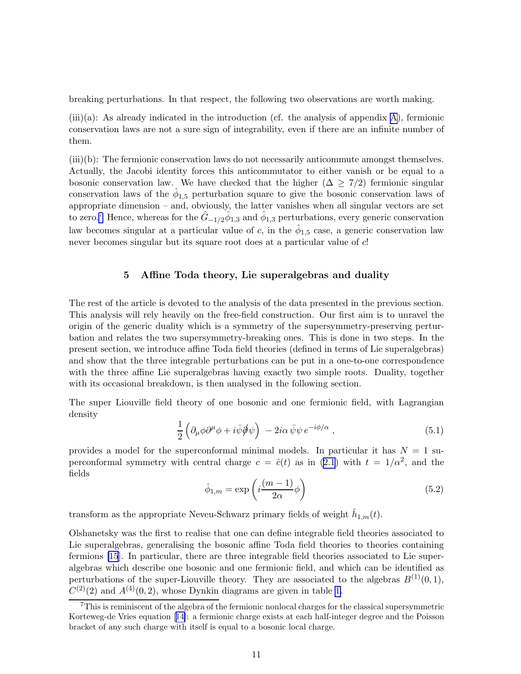<span id="page-11-0"></span>breaking perturbations. In that respect, the following two observations are worth making.

 $(iii)(a)$ : As already indicated in the introduction (cf. the analysis of appendix [A\)](#page-24-0), fermionic conservation laws are not a sure sign of integrability, even if there are an infinite number of them.

(iii)(b): The fermionic conservation laws do not necessarily anticommute amongst themselves. Actually, the Jacobi identity forces this anticommutator to either vanish or be equal to a bosonic conservation law. We have checked that the higher  $(\Delta \geq 7/2)$  fermionic singular conservation laws of the  $\hat{\phi}_{1,5}$  perturbation square to give the bosonic conservation laws of appropriate dimension – and, obviously, the latter vanishes when all singular vectors are set to zero.<sup>7</sup> Hence, whereas for the  $\hat{G}_{-1/2}\hat{\phi}_{1,3}$  and  $\hat{\phi}_{1,3}$  perturbations, every generic conservation law becomes singular at a particular value of c, in the  $\hat{\phi}_{1,5}$  case, a generic conservation law never becomes singular but its square root does at a particular value of c!

#### 5 Affine Toda theory, Lie superalgebras and duality

The rest of the article is devoted to the analysis of the data presented in the previous section. This analysis will rely heavily on the free-field construction. Our first aim is to unravel the origin of the generic duality which is a symmetry of the supersymmetry-preserving perturbation and relates the two supersymmetry-breaking ones. This is done in two steps. In the present section, we introduce affine Toda field theories (defined in terms of Lie superalgebras) and show that the three integrable perturbations can be put in a one-to-one correspondence with the three affine Lie superalgebras having exactly two simple roots. Duality, together with its occasional breakdown, is then analysed in the following section.

The super Liouville field theory of one bosonic and one fermionic field, with Lagrangian density

$$
\frac{1}{2} \left( \partial_{\mu} \phi \partial^{\mu} \phi + i \bar{\psi} \partial \phi \right) - 2i \alpha \bar{\psi} \psi e^{-i \phi / \alpha} , \qquad (5.1)
$$

provides a model for the superconformal minimal models. In particular it has  $N = 1$  superconformal symmetry with central charge  $c = \hat{c}(t)$  as in [\(2.1\)](#page-3-0) with  $t = 1/\alpha^2$ , and the fields

$$
\hat{\phi}_{1,m} = \exp\left(i\frac{(m-1)}{2\alpha}\phi\right) \tag{5.2}
$$

transform as the appropriate Neveu-Schwarz primary fields of weight  $\hat{h}_{1,m}(t)$ .

Olshanetsky was the first to realise that one can define integrable field theories associated to Lie superalgebras, generalising the bosonic affine Toda field theories to theories containing fermions [\[15](#page-30-0)]. In particular, there are three integrable field theories associated to Lie superalgebras which describe one bosonic and one fermionic field, and which can be identified as perturbations of the super-Liouville theory. They are associated to the algebras  $B^{(1)}(0,1)$ ,  $C^{(2)}(2)$  and  $A^{(4)}(0, 2)$ , whose Dynkin diagrams are given in table [1.](#page-12-0)

<sup>7</sup>This is reminiscent of the algebra of the fermionic nonlocal charges for the classical supersymmetric Korteweg-de Vries equation[[14\]](#page-30-0): a fermionic charge exists at each half-integer degree and the Poisson bracket of any such charge with itself is equal to a bosonic local charge.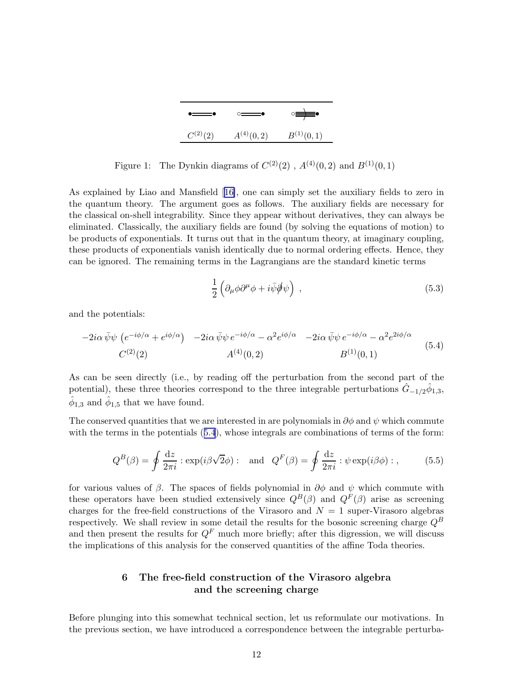

<span id="page-12-0"></span>Figure 1: The Dynkin diagrams of  $C^{(2)}(2)$ ,  $A^{(4)}(0, 2)$  and  $B^{(1)}(0, 1)$ 

As explained by Liao and Mansfield[[16\]](#page-30-0), one can simply set the auxiliary fields to zero in the quantum theory. The argument goes as follows. The auxiliary fields are necessary for the classical on-shell integrability. Since they appear without derivatives, they can always be eliminated. Classically, the auxiliary fields are found (by solving the equations of motion) to be products of exponentials. It turns out that in the quantum theory, at imaginary coupling, these products of exponentials vanish identically due to normal ordering effects. Hence, they can be ignored. The remaining terms in the Lagrangians are the standard kinetic terms

$$
\frac{1}{2} \left( \partial_{\mu} \phi \partial^{\mu} \phi + i \bar{\psi} \phi \psi \right) , \qquad (5.3)
$$

and the potentials:

$$
-2i\alpha\bar{\psi}\psi\left(e^{-i\phi/\alpha}+e^{i\phi/\alpha}\right) -2i\alpha\bar{\psi}\psi e^{-i\phi/\alpha} - \alpha^2 e^{i\phi/\alpha} -2i\alpha\bar{\psi}\psi e^{-i\phi/\alpha} - \alpha^2 e^{2i\phi/\alpha}
$$
  

$$
C^{(2)}(2) \qquad A^{(4)}(0,2) \qquad B^{(1)}(0,1) \qquad (5.4)
$$

As can be seen directly (i.e., by reading off the perturbation from the second part of the potential), these three theories correspond to the three integrable perturbations  $\hat{G}_{-1/2}\hat{\phi}_{1,3}$ ,  $\hat{\phi}_{1,3}$  and  $\hat{\phi}_{1,5}$  that we have found.

The conserved quantities that we are interested in are polynomials in  $\partial \phi$  and  $\psi$  which commute with the terms in the potentials  $(5.4)$ , whose integrals are combinations of terms of the form:

$$
Q^{B}(\beta) = \oint \frac{\mathrm{d}z}{2\pi i} : \exp(i\beta\sqrt{2}\phi) : \text{ and } Q^{F}(\beta) = \oint \frac{\mathrm{d}z}{2\pi i} : \psi \exp(i\beta\phi) : ,
$$
 (5.5)

for various values of  $\beta$ . The spaces of fields polynomial in  $\partial \phi$  and  $\psi$  which commute with these operators have been studied extensively since  $Q^B(\beta)$  and  $Q^F(\beta)$  arise as screening charges for the free-field constructions of the Virasoro and  $N = 1$  super-Virasoro algebras respectively. We shall review in some detail the results for the bosonic screening charge  $Q^B$ and then present the results for  $Q<sup>F</sup>$  much more briefly; after this digression, we will discuss the implications of this analysis for the conserved quantities of the affine Toda theories.

## 6 The free-field construction of the Virasoro algebra and the screening charge

Before plunging into this somewhat technical section, let us reformulate our motivations. In the previous section, we have introduced a correspondence between the integrable perturba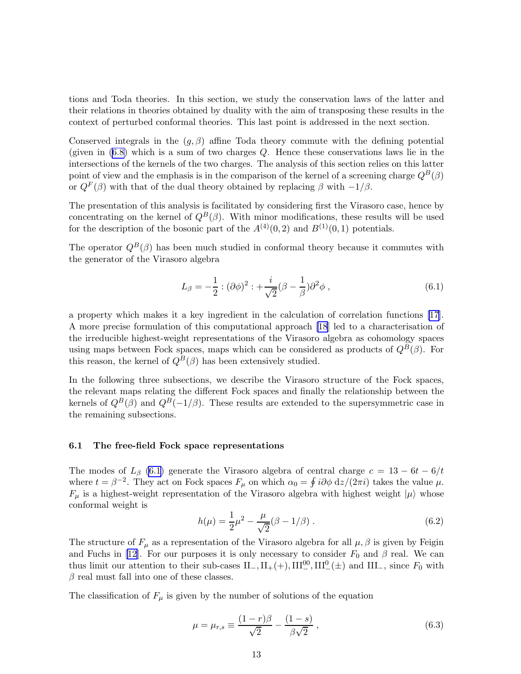<span id="page-13-0"></span>tions and Toda theories. In this section, we study the conservation laws of the latter and their relations in theories obtained by duality with the aim of transposing these results in the context of perturbed conformal theories. This last point is addressed in the next section.

Conserved integrals in the  $(q, \beta)$  affine Toda theory commute with the defining potential (given in  $(6.8)$  which is a sum of two charges Q. Hence these conservations laws lie in the intersections of the kernels of the two charges. The analysis of this section relies on this latter point of view and the emphasis is in the comparison of the kernel of a screening charge  $Q^B(\beta)$ or  $Q^F(\beta)$  with that of the dual theory obtained by replacing  $\beta$  with  $-1/\beta$ .

The presentation of this analysis is facilitated by considering first the Virasoro case, hence by concentrating on the kernel of  $Q^B(\beta)$ . With minor modifications, these results will be used for the description of the bosonic part of the  $A^{(4)}(0, 2)$  and  $B^{(1)}(0, 1)$  potentials.

The operator  $Q^B(\beta)$  has been much studied in conformal theory because it commutes with the generator of the Virasoro algebra

$$
L_{\beta} = -\frac{1}{2} : (\partial \phi)^2 : + \frac{i}{\sqrt{2}} (\beta - \frac{1}{\beta}) \partial^2 \phi , \qquad (6.1)
$$

a property which makes it a key ingredient in the calculation of correlation functions[[17\]](#page-30-0). A more precise formulation of this computational approach [\[18](#page-30-0)] led to a characterisation of the irreducible highest-weight representations of the Virasoro algebra as cohomology spaces using maps between Fock spaces, maps which can be considered as products of  $Q^B(\beta)$ . For this reason, the kernel of  $Q^B(\beta)$  has been extensively studied.

In the following three subsections, we describe the Virasoro structure of the Fock spaces, the relevant maps relating the different Fock spaces and finally the relationship between the kernels of  $Q^B(\beta)$  and  $Q^B(-1/\beta)$ . These results are extended to the supersymmetric case in the remaining subsections.

#### 6.1 The free-field Fock space representations

The modes of  $L_{\beta}$  (6.1) generate the Virasoro algebra of central charge  $c = 13 - 6t - 6/t$ where  $t = \beta^{-2}$ . They act on Fock spaces  $F_{\mu}$  on which  $\alpha_0 = \oint i \partial \phi \, dz / (2\pi i)$  takes the value  $\mu$ .  $F_{\mu}$  is a highest-weight representation of the Virasoro algebra with highest weight  $|\mu\rangle$  whose conformal weight is

$$
h(\mu) = \frac{1}{2}\mu^2 - \frac{\mu}{\sqrt{2}}(\beta - 1/\beta) \,. \tag{6.2}
$$

The structure of  $F_{\mu}$  as a representation of the Virasoro algebra for all  $\mu$ ,  $\beta$  is given by Feigin and Fuchs in [\[12](#page-30-0)]. For our purposes it is only necessary to consider  $F_0$  and  $\beta$  real. We can thus limit our attention to their sub-cases  $II_-, II_+ (+), III_-^{00}, III_-^{0} (\pm)$  and  $III_-,$  since  $F_0$  with  $\beta$  real must fall into one of these classes.

The classification of  $F_{\mu}$  is given by the number of solutions of the equation

$$
\mu = \mu_{r,s} \equiv \frac{(1-r)\beta}{\sqrt{2}} - \frac{(1-s)}{\beta\sqrt{2}},
$$
\n(6.3)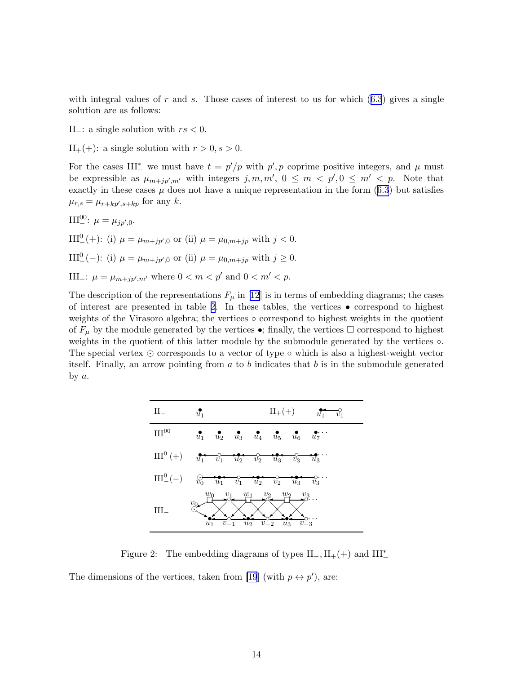withintegral values of r and s. Those cases of interest to us for which  $(6.3)$  $(6.3)$  $(6.3)$  gives a single solution are as follows:

II $_$ : a single solution with  $rs < 0$ .

 $II_{+}(+)$ : a single solution with  $r > 0, s > 0$ .

For the cases III<sup>\*</sup> we must have  $t = p'/p$  with  $p', p$  coprime positive integers, and  $\mu$  must be expressible as  $\mu_{m+jp',m'}$  with integers  $j, m, m', 0 \leq m < p', 0 \leq m' < p$ . Note that exactlyin these cases  $\mu$  does not have a unique representation in the form ([6.3](#page-13-0)) but satisfies  $\mu_{r,s} = \mu_{r+kp',s+kp}$  for any k.

III<sup>00</sup>:  $\mu = \mu_{jp',0}$ . III<sup>0</sup><sub>-</sub>(+): (i)  $\mu = \mu_{m+jp',0}$  or (ii)  $\mu = \mu_{0,m+jp}$  with  $j < 0$ . III<sup>0</sup><sub>-</sub>(-): (i)  $\mu = \mu_{m+jp',0}$  or (ii)  $\mu = \mu_{0,m+jp}$  with  $j \ge 0$ . III<sub>-</sub>:  $\mu = \mu_{m+jp',m'}$  where  $0 < m < p'$  and  $0 < m' < p$ .

The description of the representations  $F_{\mu}$  in [\[12](#page-30-0)] is in terms of embedding diagrams; the cases of interest are presented in table 2. In these tables, the vertices  $\bullet$  correspond to highest weights of the Virasoro algebra; the vertices ◦ correspond to highest weights in the quotient of  $F_{\mu}$  by the module generated by the vertices  $\bullet$ ; finally, the vertices  $\Box$  correspond to highest weights in the quotient of this latter module by the submodule generated by the vertices ◦. The special vertex  $\odot$  corresponds to a vector of type  $\circ$  which is also a highest-weight vector itself. Finally, an arrow pointing from  $a$  to  $b$  indicates that  $b$  is in the submodule generated by  $a$ .

| ${\rm II}_-$      | $\text{II}_{+}(+)$<br>$\tilde{u}_1$<br>$\tilde{u_1}$<br>$\tilde{v_1}$                                                                                                                                                                                                                                                                                                                                                                         |
|-------------------|-----------------------------------------------------------------------------------------------------------------------------------------------------------------------------------------------------------------------------------------------------------------------------------------------------------------------------------------------------------------------------------------------------------------------------------------------|
| III <sup>00</sup> | $u_1$ $u_2$ $u_3$ $u_4$ $u_5$ $u_6$ $u_7$ .                                                                                                                                                                                                                                                                                                                                                                                                   |
|                   | $III_{-}^{0}(+)$ $u_{1}^{0}$ $v_{1}^{0}$ $u_{2}^{0}$ $v_{2}^{0}$ $u_{3}^{0}$ $v_{3}^{0}$ $u_{3}^{0}$                                                                                                                                                                                                                                                                                                                                          |
|                   | $\text{III}^0_ -(-) \qquad \overbrace{\stackrel{\scriptstyle \bigcirc}{v_0}}^{\phantom{0}} u_1^{\phantom{0}} \qquad \overbrace{\stackrel{\scriptstyle \bigcirc}{v_1}}^{\phantom{0}} u_2^{\phantom{0}} \qquad \overbrace{\stackrel{\scriptstyle \bigcirc}{v_2}}^{\phantom{0}} u_3^{\phantom{0}} \qquad \overbrace{\stackrel{\scriptstyle \bigcirc}{v_3}}^{\phantom{0}} \qquad \overbrace{\stackrel{\scriptstyle \bigcirc}{v_3}}^{\phantom{0}}$ |
|                   | $w_0$<br>$\frac{w_2}{w_1}$<br>$\frac{v_1}{\sqrt{2}}$ .<br>$w_1$<br>$\frac{v_2}{\sqrt{2}}$<br>$\overset{v_3}{\longrightarrow}$ .<br>$v_{0}$<br>$v_{-2}$<br>$\tilde{u}_3$<br>$v_{-3}$<br>$u_2$<br>$u_1$                                                                                                                                                                                                                                         |

Figure 2: The embedding diagrams of types  $II_-, II_+(+)$  and  $III_-^*$ 

The dimensions of the vertices, taken from [\[19](#page-30-0)] (with  $p \leftrightarrow p'$ ), are: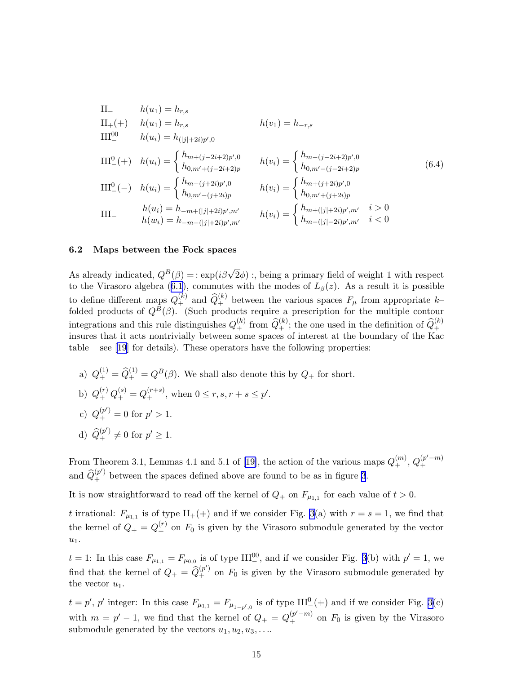<span id="page-15-0"></span>II<sub>-</sub> 
$$
h(u_1) = h_{r,s}
$$
  
\nII<sub>+</sub>(+)  $h(u_1) = h_{r,s}$   $h(v_1) = h_{-r,s}$   
\nIII<sup>0</sup> $h(u_i) = h_{(|j|+2i)p',0}$   
\nIII<sup>0</sup> $h(u_i) = \begin{cases} h_{m+(j-2i+2)p',0} & h(v_i) = \begin{cases} h_{m-(j-2i+2)p',0} \\ h_{0,m'+(j-2i+2)p} & h(v_i) = \begin{cases} h_{m-(j-2i+2)p'} & h(v_i) \end{cases} \\ \nIII0 $h(u_i) = \begin{cases} h_{m-(j+2i)p',0} & h(v_i) = \begin{cases} h_{m+(j+2i)p',0} \\ h_{0,m'+(j+2i)p} \\ h_{0,m'+(j+2i)p} \end{cases} \\ \nIII-  $h(u_i) = h_{-m+(|j|+2i)p',m'} & h(v_i) = \begin{cases} h_{m+(|j|+2i)p',m'} & i > 0 \\ h_{m-(|j|-2i)p',m'} & i < 0 \end{cases} \end{cases}$$$ 

#### 6.2 Maps between the Fock spaces

As already indicated,  $Q^B(\beta) = \exp(i\beta\sqrt{2}\phi)$ ; being a primary field of weight 1 with respect to the Virasoro algebra [\(6.1\)](#page-13-0), commutes with the modes of  $L_{\beta}(z)$ . As a result it is possible to define different maps  $Q_{+}^{(k)}$  and  $\widehat{Q}_{+}^{(k)}$  between the various spaces  $F_{\mu}$  from appropriate kfolded products of  $Q^B(\beta)$ . (Such products require a prescription for the multiple contour integrations and this rule distinguishes  $Q_+^{(k)}$  from  $\widehat{Q}_+^{(k)}$ ; the one used in the definition of  $\widehat{Q}_+^{(k)}$ insures that it acts nontrivially between some spaces of interest at the boundary of the Kac table – see [\[19\]](#page-30-0) for details). These operators have the following properties:

- a)  $Q_+^{(1)} = \hat{Q}_+^{(1)} = Q^B(\beta)$ . We shall also denote this by  $Q_+$  for short.
- b)  $Q_+^{(r)} Q_+^{(s)} = Q_+^{(r+s)}$ , when  $0 \le r, s, r + s \le p'$ .
- c)  $Q_+^{(p')} = 0$  for  $p' > 1$ .
- d)  $\hat{Q}_{+}^{(p')} \neq 0$  for  $p' \geq 1$ .

FromTheorem 3.1, Lemmas 4.1 and 5.1 of [[19\]](#page-30-0), the action of the various maps  $Q_{+}^{(m)}$ ,  $Q_{+}^{(p'-m)}$ + and  $\hat{Q}_{+}^{(p')}$  between the spaces defined above are found to be as in figure [3](#page-16-0).

It is now straightforward to read off the kernel of  $Q_+$  on  $F_{\mu_{1,1}}$  for each value of  $t > 0$ .

t irrational:  $F_{\mu_{1,1}}$  is of type  $\text{II}_{+}(+)$  and if we consider Fig. [3\(](#page-16-0)a) with  $r = s = 1$ , we find that the kernel of  $Q_+ = Q_+^{(r)}$  on  $F_0$  is given by the Virasoro submodule generated by the vector  $u_1$ .

 $t = 1$ : In this case  $F_{\mu_{1,1}} = F_{\mu_{0,0}}$  is of type  $III^{00}_{-}$ , and if we consider Fig. [3](#page-16-0)(b) with  $p' = 1$ , we find that the kernel of  $Q_+ = \hat{Q}_+^{(p')}$  on  $F_0$  is given by the Virasoro submodule generated by the vector  $u_1$ .

 $t = p'$ , p' integer: In this case  $F_{\mu_{1,1}} = F_{\mu_{1-p',0}}$  is of type III<sup>0</sup><sub>-</sub>(+) and if we consider Fig. [3\(](#page-16-0)c) with  $m = p' - 1$ , we find that the kernel of  $Q_+ = Q_+^{(p'-m)}$  on  $F_0$  is given by the Virasoro submodule generated by the vectors  $u_1, u_2, u_3, \ldots$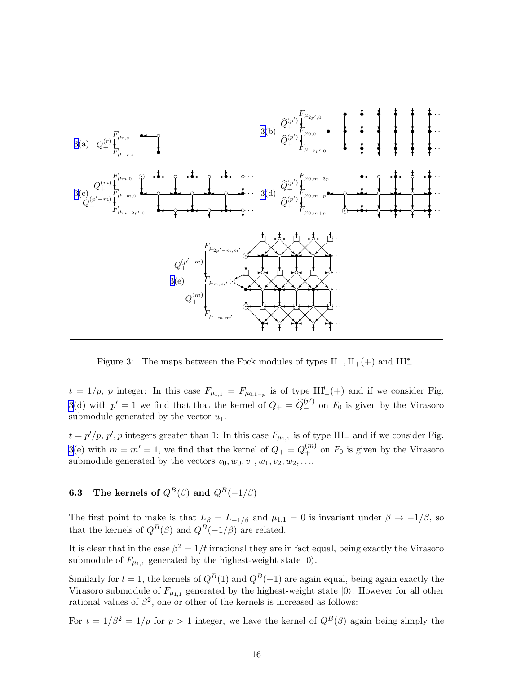<span id="page-16-0"></span>

Figure 3: The maps between the Fock modules of types  $II_-, II_+(+)$  and  $III_-^*$ 

 $t = 1/p$ , p integer: In this case  $F_{\mu_{1,1}} = F_{\mu_{0,1-p}}$  is of type  $III^{0}_{-}(+)$  and if we consider Fig. 3(d) with  $p' = 1$  we find that that the kernel of  $Q_+ = \widehat{Q}_+^{(p')}$  on  $F_0$  is given by the Virasoro submodule generated by the vector  $u_1$ .

 $t = p'/p$ , p', p integers greater than 1: In this case  $F_{\mu_{1,1}}$  is of type III<sub>-</sub> and if we consider Fig. 3(e) with  $m = m' = 1$ , we find that the kernel of  $Q_{+} = Q_{+}^{(m)}$  on  $F_0$  is given by the Virasoro submodule generated by the vectors  $v_0, w_0, v_1, w_1, v_2, w_2, \ldots$ 

**6.3** The kernels of  $Q^B(\beta)$  and  $Q^B(-1/\beta)$ 

The first point to make is that  $L_{\beta} = L_{-1/\beta}$  and  $\mu_{1,1} = 0$  is invariant under  $\beta \to -1/\beta$ , so that the kernels of  $Q^B(\beta)$  and  $Q^B(-1/\beta)$  are related.

It is clear that in the case  $\beta^2 = 1/t$  irrational they are in fact equal, being exactly the Virasoro submodule of  $F_{\mu_{1,1}}$  generated by the highest-weight state  $|0\rangle$ .

Similarly for  $t = 1$ , the kernels of  $Q<sup>B</sup>(1)$  and  $Q<sup>B</sup>(-1)$  are again equal, being again exactly the Virasoro submodule of  $F_{\mu_{1,1}}$  generated by the highest-weight state  $|0\rangle$ . However for all other rational values of  $\beta^2$ , one or other of the kernels is increased as follows:

For  $t = 1/\beta^2 = 1/p$  for  $p > 1$  integer, we have the kernel of  $Q^B(\beta)$  again being simply the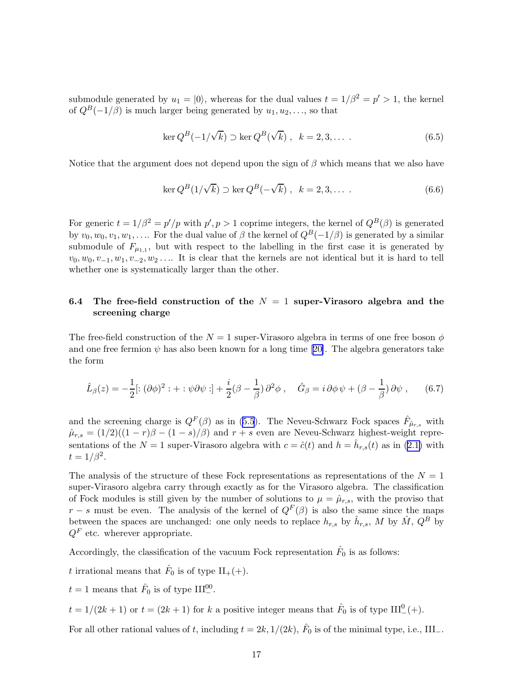<span id="page-17-0"></span>submodule generated by  $u_1 = |0\rangle$ , whereas for the dual values  $t = 1/\beta^2 = p' > 1$ , the kernel of  $Q^B(-1/\beta)$  is much larger being generated by  $u_1, u_2, \ldots$ , so that

$$
\ker Q^B(-1/\sqrt{k}) \supset \ker Q^B(\sqrt{k}), \quad k = 2, 3, \dots \tag{6.5}
$$

Notice that the argument does not depend upon the sign of  $\beta$  which means that we also have

$$
\ker Q^B(1/\sqrt{k}) \supset \ker Q^B(-\sqrt{k}), \quad k = 2, 3, \dots \tag{6.6}
$$

For generic  $t = 1/\beta^2 = p'/p$  with  $p', p > 1$  coprime integers, the kernel of  $Q^B(\beta)$  is generated by  $v_0, w_0, v_1, w_1, \ldots$  For the dual value of  $\beta$  the kernel of  $Q^B(-1/\beta)$  is generated by a similar submodule of  $F_{\mu_{1,1}}$ , but with respect to the labelling in the first case it is generated by  $v_0, w_0, v_{-1}, w_1, v_{-2}, w_2, \ldots$  It is clear that the kernels are not identical but it is hard to tell whether one is systematically larger than the other.

## 6.4 The free-field construction of the  $N = 1$  super-Virasoro algebra and the screening charge

The free-field construction of the  $N = 1$  super-Virasoro algebra in terms of one free boson  $\phi$ andone free fermion  $\psi$  has also been known for a long time [[20\]](#page-30-0). The algebra generators take the form

$$
\hat{L}_{\beta}(z) = -\frac{1}{2} [:(\partial \phi)^2 : + : \psi \partial \psi : ] + \frac{i}{2} (\beta - \frac{1}{\beta}) \partial^2 \phi , \quad \hat{G}_{\beta} = i \partial \phi \psi + (\beta - \frac{1}{\beta}) \partial \psi , \quad (6.7)
$$

and the screening charge is  $Q^F(\beta)$  as in [\(5.5](#page-12-0)). The Neveu-Schwarz Fock spaces  $\hat{F}_{\hat{\mu}_{r,s}}$  with  $\hat{\mu}_{r,s} = (1/2)((1-r)\beta - (1-s)/\beta)$  and  $r+s$  even are Neveu-Schwarz highest-weight representationsof the  $N=1$  super-Virasoro algebra with  $c = \hat{c}(t)$  and  $h = \hat{h}_{r,s}(t)$  as in ([2.1\)](#page-3-0) with  $t=1/\beta^2$ .

The analysis of the structure of these Fock representations as representations of the  $N = 1$ super-Virasoro algebra carry through exactly as for the Virasoro algebra. The classification of Fock modules is still given by the number of solutions to  $\mu = \hat{\mu}_{r,s}$ , with the proviso that  $r - s$  must be even. The analysis of the kernel of  $Q<sup>F</sup>(\beta)$  is also the same since the maps between the spaces are unchanged: one only needs to replace  $h_{r,s}$  by  $\hat{h}_{r,s}$ , M by  $\hat{M}$ ,  $Q^B$  by  $Q<sup>F</sup>$  etc. wherever appropriate.

Accordingly, the classification of the vacuum Fock representation  $\hat{F}_0$  is as follows:

t irrational means that  $\hat{F}_0$  is of type  $\text{II}_{+}(+)$ .

 $t = 1$  means that  $\hat{F}_0$  is of type  $III^{00}_{-}$ .

 $t = 1/(2k+1)$  or  $t = (2k+1)$  for k a positive integer means that  $\hat{F}_0$  is of type  $III^0_-(+)$ .

For all other rational values of t, including  $t = 2k, 1/(2k)$ ,  $\hat{F}_0$  is of the minimal type, i.e., III\_.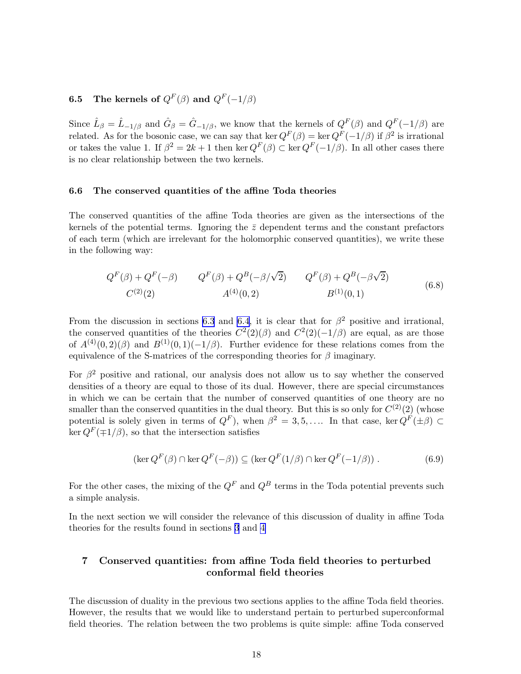## <span id="page-18-0"></span>**6.5** The kernels of  $Q^F(\beta)$  and  $Q^F(-1/\beta)$

Since  $\hat{L}_{\beta} = \hat{L}_{-1/\beta}$  and  $\hat{G}_{\beta} = \hat{G}_{-1/\beta}$ , we know that the kernels of  $Q^F(\beta)$  and  $Q^F(-1/\beta)$  are related. As for the bosonic case, we can say that ker  $Q^F(\beta) = \ker Q^F(-1/\beta)$  if  $\beta^2$  is irrational or takes the value 1. If  $\beta^2 = 2k + 1$  then ker  $Q^F(\beta) \subset \text{ker } Q^F(-1/\beta)$ . In all other cases there is no clear relationship between the two kernels.

#### 6.6 The conserved quantities of the affine Toda theories

The conserved quantities of the affine Toda theories are given as the intersections of the kernels of the potential terms. Ignoring the  $\bar{z}$  dependent terms and the constant prefactors of each term (which are irrelevant for the holomorphic conserved quantities), we write these in the following way:

$$
Q^{F}(\beta) + Q^{F}(-\beta) \qquad Q^{F}(\beta) + Q^{B}(-\beta/\sqrt{2}) \qquad Q^{F}(\beta) + Q^{B}(-\beta\sqrt{2})
$$
  
\n
$$
C^{(2)}(2) \qquad A^{(4)}(0,2) \qquad B^{(1)}(0,1) \qquad (6.8)
$$

From the discussion in sections [6.3](#page-16-0) and [6.4](#page-17-0), it is clear that for  $\beta^2$  positive and irrational, the conserved quantities of the theories  $C^2(2)(\beta)$  and  $C^2(2)(-1/\beta)$  are equal, as are those of  $A^{(4)}(0,2)(\beta)$  and  $B^{(1)}(0,1)(-1/\beta)$ . Further evidence for these relations comes from the equivalence of the S-matrices of the corresponding theories for  $\beta$  imaginary.

For  $\beta^2$  positive and rational, our analysis does not allow us to say whether the conserved densities of a theory are equal to those of its dual. However, there are special circumstances in which we can be certain that the number of conserved quantities of one theory are no smaller than the conserved quantities in the dual theory. But this is so only for  $C^{(2)}(2)$  (whose potential is solely given in terms of  $Q^F$ ), when  $\beta^2 = 3, 5, \ldots$  In that case, ker  $Q^F(\pm \beta) \subset$  $\ker Q^F(\pm 1/\beta)$ , so that the intersection satisfies

$$
(\ker Q^{F}(\beta) \cap \ker Q^{F}(-\beta)) \subseteq (\ker Q^{F}(1/\beta) \cap \ker Q^{F}(-1/\beta)).
$$
\n(6.9)

For the other cases, the mixing of the  $Q^F$  and  $Q^B$  terms in the Toda potential prevents such a simple analysis.

In the next section we will consider the relevance of this discussion of duality in affine Toda theories for the results found in sections [3](#page-4-0) and [4](#page-8-0)

### 7 Conserved quantities: from affine Toda field theories to perturbed conformal field theories

The discussion of duality in the previous two sections applies to the affine Toda field theories. However, the results that we would like to understand pertain to perturbed superconformal field theories. The relation between the two problems is quite simple: affine Toda conserved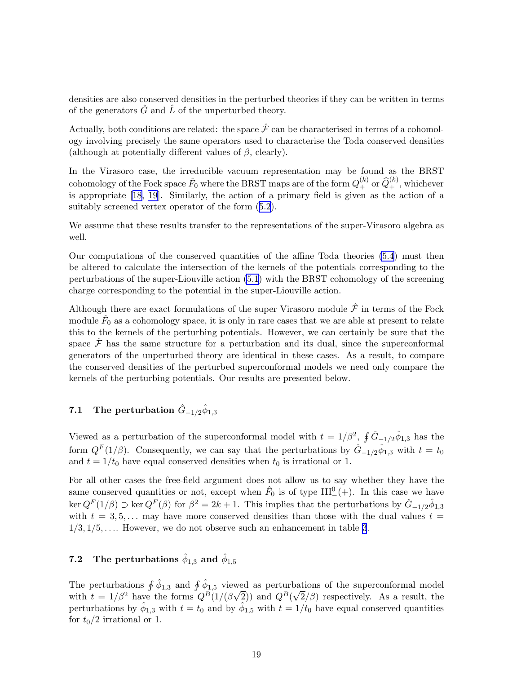densities are also conserved densities in the perturbed theories if they can be written in terms of the generators  $G$  and  $L$  of the unperturbed theory.

Actually, both conditions are related: the space  $\hat{\mathcal{F}}$  can be characterised in terms of a cohomology involving precisely the same operators used to characterise the Toda conserved densities (although at potentially different values of  $\beta$ , clearly).

In the Virasoro case, the irreducible vacuum representation may be found as the BRST cohomology of the Fock space  $\hat{F}_0$  where the BRST maps are of the form  $Q_+^{(k)}$  or  $\widehat{Q}_+^{(k)},$  whichever is appropriate[[18, 19](#page-30-0)]. Similarly, the action of a primary field is given as the action of a suitably screened vertex operator of the form([5.2](#page-11-0)).

We assume that these results transfer to the representations of the super-Virasoro algebra as well.

Our computations of the conserved quantities of the affine Toda theories [\(5.4](#page-12-0)) must then be altered to calculate the intersection of the kernels of the potentials corresponding to the perturbations of the super-Liouville action [\(5.1](#page-11-0)) with the BRST cohomology of the screening charge corresponding to the potential in the super-Liouville action.

Although there are exact formulations of the super Virasoro module  $\hat{\mathcal{F}}$  in terms of the Fock module  $\hat{F}_0$  as a cohomology space, it is only in rare cases that we are able at present to relate this to the kernels of the perturbing potentials. However, we can certainly be sure that the space  $\mathcal{F}$  has the same structure for a perturbation and its dual, since the superconformal generators of the unperturbed theory are identical in these cases. As a result, to compare the conserved densities of the perturbed superconformal models we need only compare the kernels of the perturbing potentials. Our results are presented below.

## 7.1 The perturbation  $\hat{G}_{-1/2} \hat{\phi}_{1,3}$

Viewed as a perturbation of the superconformal model with  $t = 1/\beta^2$ ,  $\oint \hat{G}_{-1/2} \hat{\phi}_{1,3}$  has the form  $Q^F(1/\beta)$ . Consequently, we can say that the perturbations by  $\hat{G}_{-1/2}\hat{\phi}_{1,3}$  with  $t=t_0$ and  $t = 1/t_0$  have equal conserved densities when  $t_0$  is irrational or 1.

For all other cases the free-field argument does not allow us to say whether they have the same conserved quantities or not, except when  $\hat{F}_0$  is of type  $III^0_-(+)$ . In this case we have  $\ker Q^{F}(1/\beta) \supset \ker Q^{F}(\beta)$  for  $\beta^{2} = 2k + 1$ . This implies that the perturbations by  $\hat{G}_{-1/2}\hat{\phi}_{1,3}$ with  $t = 3, 5, \ldots$  may have more conserved densities than those with the dual values  $t =$  $1/3, 1/5, \ldots$  However, we do not observe such an enhancement in table [3](#page-10-0).

## 7.2 The perturbations  $\hat{\phi}_{1,3}$  and  $\hat{\phi}_{1,5}$

The perturbations  $\oint \hat{\phi}_{1,3}$  and  $\oint \hat{\phi}_{1,5}$  viewed as perturbations of the superconformal model with  $t = 1/\beta^2$  have the forms  $Q^B(1/(\beta\sqrt{2}))$  and  $Q^B(\sqrt{2}/\beta)$  respectively. As a result, the perturbations by  $\hat{\phi}_{1,3}$  with  $t = t_0$  and by  $\hat{\phi}_{1,5}$  with  $t = 1/t_0$  have equal conserved quantities for  $t_0/2$  irrational or 1.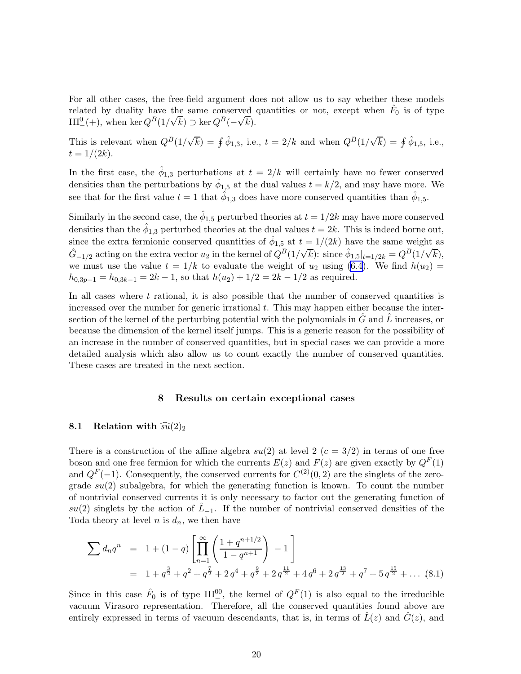<span id="page-20-0"></span>For all other cases, the free-field argument does not allow us to say whether these models related by duality have the same conserved quantities or not, except when  $\hat{F}_0$  is of type III<sup>0</sup><sub>(+)</sub>, when ker  $Q^B(1/\sqrt{k}) \supset \ker Q^B(-\sqrt{k}).$ 

This is relevant when  $Q^B(1/\sqrt{k}) = \oint \hat{\phi}_{1,3}$ , i.e.,  $t = 2/k$  and when  $Q^B(1/\sqrt{k}) = \oint \hat{\phi}_{1,5}$ , i.e.,  $t = 1/(2k)$ .

In the first case, the  $\hat{\phi}_{1,3}$  perturbations at  $t = 2/k$  will certainly have no fewer conserved densities than the perturbations by  $\hat{\phi}_{1,5}$  at the dual values  $t = k/2$ , and may have more. We see that for the first value  $t = 1$  that  $\hat{\phi}_{1,3}$  does have more conserved quantities than  $\hat{\phi}_{1,5}$ .

Similarly in the second case, the  $\hat{\phi}_{1,5}$  perturbed theories at  $t = 1/2k$  may have more conserved densities than the  $\hat{\phi}_{1,3}$  perturbed theories at the dual values  $t = 2k$ . This is indeed borne out, since the extra fermionic conserved quantities of  $\hat{\phi}_{1,5}$  at  $t = 1/(2k)$  have the same weight as  $\hat{G}_{-1/2}$  acting on the extra vector  $u_2$  in the kernel of  $Q^B(1/\sqrt{k})$ : since  $\hat{\phi}_{1,5}|_{t=1/2k} = Q^B(1/\sqrt{k}),$ we must use the value  $t = 1/k$  to evaluate the weight of  $u_2$  using [\(6.4](#page-15-0)). We find  $h(u_2)$  $h_{0,3p-1} = h_{0,3k-1} = 2k - 1$ , so that  $h(u_2) + 1/2 = 2k - 1/2$  as required.

In all cases where  $t$  rational, it is also possible that the number of conserved quantities is increased over the number for generic irrational  $t$ . This may happen either because the intersection of the kernel of the perturbing potential with the polynomials in  $G$  and  $L$  increases, or because the dimension of the kernel itself jumps. This is a generic reason for the possibility of an increase in the number of conserved quantities, but in special cases we can provide a more detailed analysis which also allow us to count exactly the number of conserved quantities. These cases are treated in the next section.

#### 8 Results on certain exceptional cases

#### 8.1 Relation with  $\widehat{su}(2)_2$

There is a construction of the affine algebra  $su(2)$  at level 2  $(c = 3/2)$  in terms of one free boson and one free fermion for which the currents  $E(z)$  and  $F(z)$  are given exactly by  $Q^F(1)$ and  $Q^F(-1)$ . Consequently, the conserved currents for  $C^{(2)}(0, 2)$  are the singlets of the zerograde  $su(2)$  subalgebra, for which the generating function is known. To count the number of nontrivial conserved currents it is only necessary to factor out the generating function of  $su(2)$  singlets by the action of  $L_{-1}$ . If the number of nontrivial conserved densities of the Toda theory at level n is  $d_n$ , we then have

$$
\sum d_n q^n = 1 + (1 - q) \left[ \prod_{n=1}^{\infty} \left( \frac{1 + q^{n+1/2}}{1 - q^{n+1}} \right) - 1 \right]
$$
  
= 1 + q^{\frac{3}{2}} + q^2 + q^{\frac{7}{2}} + 2 q^4 + q^{\frac{9}{2}} + 2 q^{\frac{11}{2}} + 4 q^6 + 2 q^{\frac{13}{2}} + q^7 + 5 q^{\frac{15}{2}} + \dots (8.1)

Since in this case  $\hat{F}_0$  is of type  $III^{00}_{-}$ , the kernel of  $Q^F(1)$  is also equal to the irreducible vacuum Virasoro representation. Therefore, all the conserved quantities found above are entirely expressed in terms of vacuum descendants, that is, in terms of  $\hat{L}(z)$  and  $\hat{G}(z)$ , and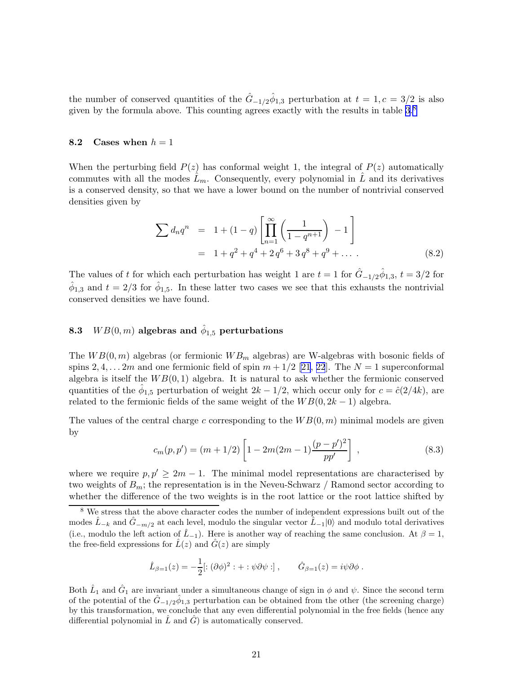<span id="page-21-0"></span>the number of conserved quantities of the  $\hat{G}_{-1/2}\hat{\phi}_{1,3}$  perturbation at  $t=1, c=3/2$  is also given by the formula above. This counting agrees exactly with the results in table  $3.8$ 

#### 8.2 Cases when  $h = 1$

When the perturbing field  $P(z)$  has conformal weight 1, the integral of  $P(z)$  automatically commutes with all the modes  $\hat{L}_m$ . Consequently, every polynomial in  $\hat{L}$  and its derivatives is a conserved density, so that we have a lower bound on the number of nontrivial conserved densities given by

$$
\sum d_n q^n = 1 + (1 - q) \left[ \prod_{n=1}^{\infty} \left( \frac{1}{1 - q^{n+1}} \right) - 1 \right]
$$
  
= 1 + q<sup>2</sup> + q<sup>4</sup> + 2 q<sup>6</sup> + 3 q<sup>8</sup> + q<sup>9</sup> + ... (8.2)

The values of t for which each perturbation has weight 1 are  $t = 1$  for  $\hat{G}_{-1/2}\hat{\phi}_{1,3}, t = 3/2$  for  $\hat{\phi}_{1,3}$  and  $t = 2/3$  for  $\hat{\phi}_{1,5}$ . In these latter two cases we see that this exhausts the nontrivial conserved densities we have found.

## 8.3  $\;\; WB(0,m)$  algebras and  $\hat{\phi}_{1,5}$  perturbations

The  $WB(0, m)$  algebras (or fermionic  $WB<sub>m</sub>$  algebras) are W-algebras with bosonic fields of spins 2, 4, ... 2m and one fermionic field of spin  $m + 1/2$  [\[21](#page-30-0), [22](#page-30-0)]. The  $N = 1$  superconformal algebra is itself the  $WB(0, 1)$  algebra. It is natural to ask whether the fermionic conserved quantities of the  $\hat{\phi}_{1,5}$  perturbation of weight  $2k - 1/2$ , which occur only for  $c = \hat{c}(2/4k)$ , are related to the fermionic fields of the same weight of the  $WB(0, 2k - 1)$  algebra.

The values of the central charge c corresponding to the  $WB(0, m)$  minimal models are given by

$$
c_m(p, p') = (m + 1/2) \left[ 1 - 2m(2m - 1) \frac{(p - p')^2}{pp'} \right], \qquad (8.3)
$$

where we require  $p, p' \geq 2m - 1$ . The minimal model representations are characterised by two weights of  $B_m$ ; the representation is in the Neveu-Schwarz / Ramond sector according to whether the difference of the two weights is in the root lattice or the root lattice shifted by

$$
\hat{L}_{\beta=1}(z) = -\frac{1}{2}[:(\partial \phi)^2 : + : \psi \partial \psi :], \qquad \hat{G}_{\beta=1}(z) = i\psi \partial \phi .
$$

Both  $\hat{L}_1$  and  $\hat{G}_1$  are invariant under a simultaneous change of sign in  $\phi$  and  $\psi$ . Since the second term of the potential of the  $\hat{G}_{-1/2}\hat{\phi}_{1,3}$  perturbation can be obtained from the other (the screening charge) by this transformation, we conclude that any even differential polynomial in the free fields (hence any differential polynomial in  $\tilde{L}$  and  $\tilde{G}$  is automatically conserved.

<sup>8</sup> We stress that the above character codes the number of independent expressions built out of the modes  $\tilde{L}_{-k}$  and  $\tilde{G}_{-m/2}$  at each level, modulo the singular vector  $\tilde{L}_{-1}|0\rangle$  and modulo total derivatives (i.e., modulo the left action of  $\hat{L}_{-1}$ ). Here is another way of reaching the same conclusion. At  $\beta = 1$ , the free-field expressions for  $\hat{L}(z)$  and  $\hat{G}(z)$  are simply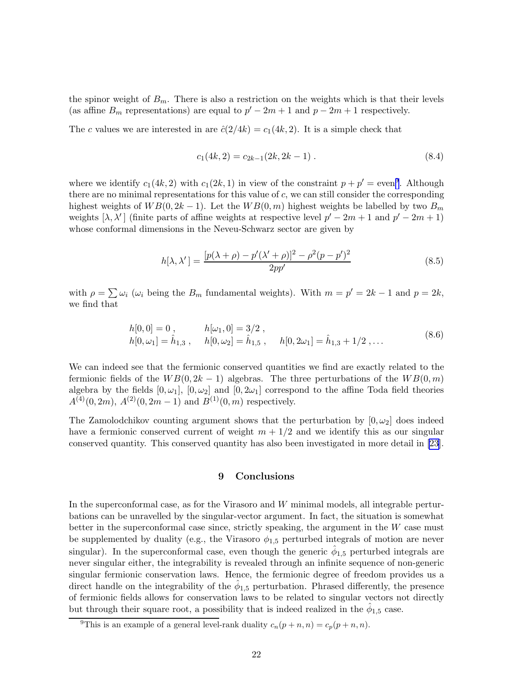the spinor weight of  $B_m$ . There is also a restriction on the weights which is that their levels (as affine  $B_m$  representations) are equal to  $p' - 2m + 1$  and  $p - 2m + 1$  respectively.

The c values we are interested in are  $\hat{c}(2/4k) = c_1(4k, 2)$ . It is a simple check that

$$
c_1(4k,2) = c_{2k-1}(2k,2k-1) \tag{8.4}
$$

where we identify  $c_1(4k, 2)$  with  $c_1(2k, 1)$  in view of the constraint  $p + p' =$ even<sup>9</sup>. Although there are no minimal representations for this value of  $c$ , we can still consider the corresponding highest weights of  $WB(0, 2k-1)$ . Let the  $WB(0, m)$  highest weights be labelled by two  $B_m$ weights  $[\lambda, \lambda']$  (finite parts of affine weights at respective level  $p' - 2m + 1$  and  $p' - 2m + 1$ ) whose conformal dimensions in the Neveu-Schwarz sector are given by

$$
h[\lambda, \lambda'] = \frac{[p(\lambda + \rho) - p'(\lambda' + \rho)]^2 - \rho^2(p - p')^2}{2pp'} \tag{8.5}
$$

with  $\rho = \sum \omega_i$  ( $\omega_i$  being the  $B_m$  fundamental weights). With  $m = p' = 2k - 1$  and  $p = 2k$ , we find that

$$
h[0,0] = 0, \t h[\omega_1,0] = 3/2, h[0,\omega_1] = \hat{h}_{1,3}, \t h[0,\omega_2] = \hat{h}_{1,5}, \t h[0,2\omega_1] = \hat{h}_{1,3} + 1/2, \ldots
$$
\t(8.6)

We can indeed see that the fermionic conserved quantities we find are exactly related to the fermionic fields of the  $WB(0, 2k-1)$  algebras. The three perturbations of the  $WB(0, m)$ algebra by the fields  $[0, \omega_1]$ ,  $[0, \omega_2]$  and  $[0, 2\omega_1]$  correspond to the affine Toda field theories  $A^{(4)}(0, 2m), A^{(2)}(0, 2m-1)$  and  $B^{(1)}(0, m)$  respectively.

The Zamolodchikov counting argument shows that the perturbation by  $[0, \omega_2]$  does indeed have a fermionic conserved current of weight  $m + 1/2$  and we identify this as our singular conserved quantity. This conserved quantity has also been investigated in more detail in[[23\]](#page-30-0).

#### 9 Conclusions

In the superconformal case, as for the Virasoro and  $W$  minimal models, all integrable perturbations can be unravelled by the singular-vector argument. In fact, the situation is somewhat better in the superconformal case since, strictly speaking, the argument in the  $W$  case must be supplemented by duality (e.g., the Virasoro  $\phi_{1,5}$  perturbed integrals of motion are never singular). In the superconformal case, even though the generic  $\hat{\phi}_{1,5}$  perturbed integrals are never singular either, the integrability is revealed through an infinite sequence of non-generic singular fermionic conservation laws. Hence, the fermionic degree of freedom provides us a direct handle on the integrability of the  $\hat{\phi}_{1,5}$  perturbation. Phrased differently, the presence of fermionic fields allows for conservation laws to be related to singular vectors not directly but through their square root, a possibility that is indeed realized in the  $\hat{\phi}_{1,5}$  case.

<sup>&</sup>lt;sup>9</sup>This is an example of a general level-rank duality  $c_n(p+n,n) = c_p(p+n,n)$ .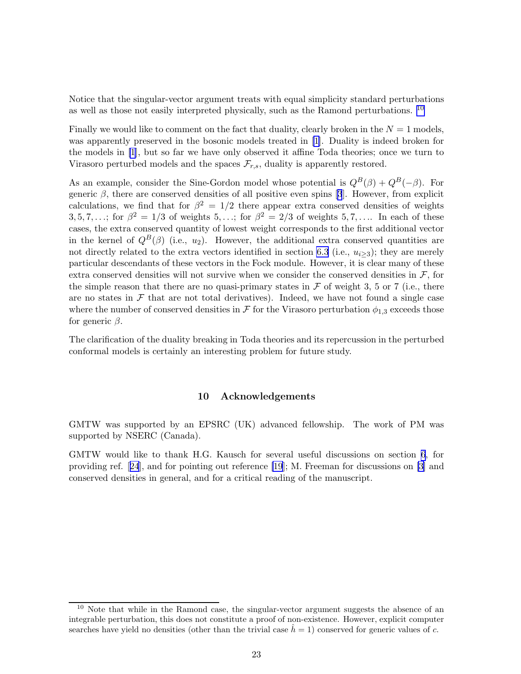Notice that the singular-vector argument treats with equal simplicity standard perturbations as well as those not easily interpreted physically, such as the Ramond perturbations. <sup>10</sup>

Finally we would like to comment on the fact that duality, clearly broken in the  $N = 1$  models, was apparently preserved in the bosonic models treated in [\[1\]](#page-30-0). Duality is indeed broken for the models in [\[1](#page-30-0)], but so far we have only observed it affine Toda theories; once we turn to Virasoro perturbed models and the spaces  $\mathcal{F}_{r,s}$ , duality is apparently restored.

As an example, consider the Sine-Gordon model whose potential is  $Q^B(\beta) + Q^B(-\beta)$ . For genericβ, there are conserved densities of all positive even spins [[3](#page-30-0)]. However, from explicit calculations, we find that for  $\beta^2 = 1/2$  there appear extra conserved densities of weights 3, 5, 7, ...; for  $\beta^2 = 1/3$  of weights 5, ...; for  $\beta^2 = 2/3$  of weights 5, 7, .... In each of these cases, the extra conserved quantity of lowest weight corresponds to the first additional vector in the kernel of  $Q^B(\beta)$  (i.e., u<sub>2</sub>). However, the additional extra conserved quantities are not directly related to the extra vectors identified in section [6.3](#page-16-0) (i.e.,  $u_{i>3}$ ); they are merely particular descendants of these vectors in the Fock module. However, it is clear many of these extra conserved densities will not survive when we consider the conserved densities in  $\mathcal{F}$ , for the simple reason that there are no quasi-primary states in  $\mathcal F$  of weight 3, 5 or 7 (i.e., there are no states in  $\mathcal F$  that are not total derivatives). Indeed, we have not found a single case where the number of conserved densities in  $\mathcal F$  for the Virasoro perturbation  $\phi_{1,3}$  exceeds those for generic  $\beta$ .

The clarification of the duality breaking in Toda theories and its repercussion in the perturbed conformal models is certainly an interesting problem for future study.

#### 10 Acknowledgements

GMTW was supported by an EPSRC (UK) advanced fellowship. The work of PM was supported by NSERC (Canada).

GMTW would like to thank H.G. Kausch for several useful discussions on section [6](#page-12-0), for providing ref.[[24](#page-30-0)], and for pointing out reference [\[19](#page-30-0)]; M. Freeman for discussions on [\[3\]](#page-30-0) and conserved densities in general, and for a critical reading of the manuscript.

<sup>&</sup>lt;sup>10</sup> Note that while in the Ramond case, the singular-vector argument suggests the absence of an integrable perturbation, this does not constitute a proof of non-existence. However, explicit computer searches have yield no densities (other than the trivial case  $h = 1$ ) conserved for generic values of c.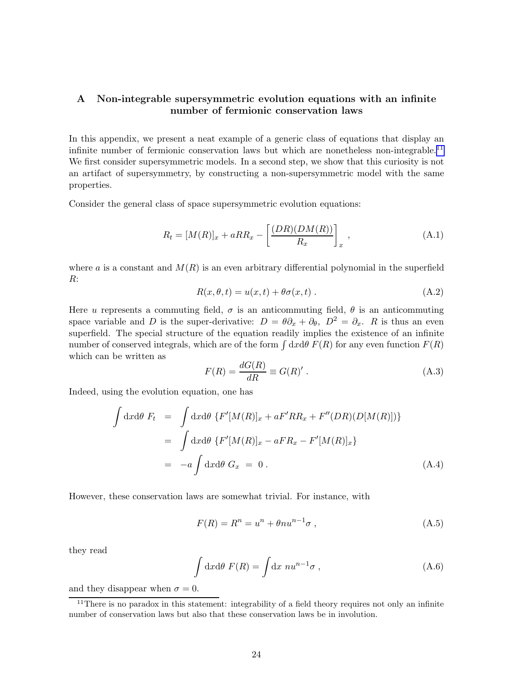## <span id="page-24-0"></span>A Non-integrable supersymmetric evolution equations with an infinite number of fermionic conservation laws

In this appendix, we present a neat example of a generic class of equations that display an infinite number of fermionic conservation laws but which are nonetheless non-integrable.<sup>11</sup> We first consider supersymmetric models. In a second step, we show that this curiosity is not an artifact of supersymmetry, by constructing a non-supersymmetric model with the same properties.

Consider the general class of space supersymmetric evolution equations:

$$
R_t = [M(R)]_x + aRR_x - \left[\frac{(DR)(DM(R))}{R_x}\right]_x, \qquad (A.1)
$$

where a is a constant and  $M(R)$  is an even arbitrary differential polynomial in the superfield R:

$$
R(x, \theta, t) = u(x, t) + \theta \sigma(x, t) . \tag{A.2}
$$

Here u represents a commuting field,  $\sigma$  is an anticommuting field,  $\theta$  is an anticommuting space variable and D is the super-derivative:  $D = \theta \partial_x + \partial_{\theta}$ ,  $D^2 = \partial_x$ . R is thus an even superfield. The special structure of the equation readily implies the existence of an infinite number of conserved integrals, which are of the form  $\int dx d\theta F(R)$  for any even function  $F(R)$ which can be written as

$$
F(R) = \frac{dG(R)}{dR} \equiv G(R)' \,. \tag{A.3}
$$

Indeed, using the evolution equation, one has

$$
\int dx d\theta F_t = \int dx d\theta \left\{ F'[M(R)]_x + aF'RR_x + F''(DR)(D[M(R)]) \right\}
$$

$$
= \int dx d\theta \left\{ F'[M(R)]_x - aFR_x - F'[M(R)]_x \right\}
$$

$$
= -a \int dx d\theta G_x = 0.
$$
(A.4)

However, these conservation laws are somewhat trivial. For instance, with

$$
F(R) = Rn = un + \theta n un-1 \sigma , \qquad (A.5)
$$

they read

$$
\int dx d\theta \ F(R) = \int dx \ nu^{n-1} \sigma \ , \tag{A.6}
$$

and they disappear when  $\sigma = 0$ .

 $11$ There is no paradox in this statement: integrability of a field theory requires not only an infinite number of conservation laws but also that these conservation laws be in involution.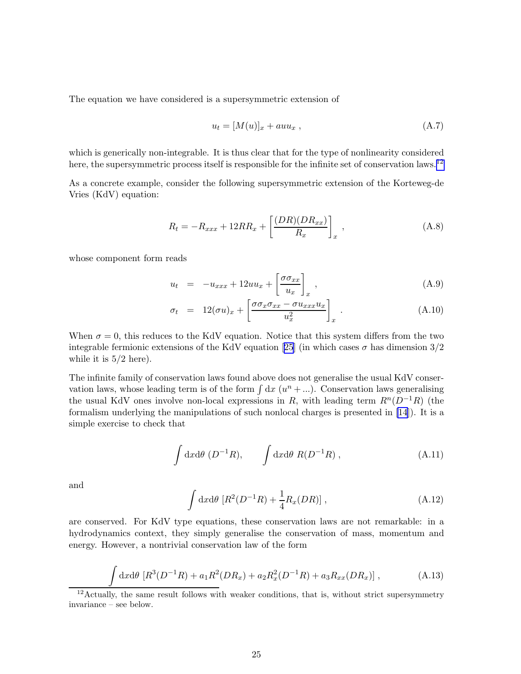The equation we have considered is a supersymmetric extension of

$$
u_t = [M(u)]_x + auu_x , \qquad (A.7)
$$

which is generically non-integrable. It is thus clear that for the type of nonlinearity considered here, the supersymmetric process itself is responsible for the infinite set of conservation laws.<sup>12</sup>

As a concrete example, consider the following supersymmetric extension of the Korteweg-de Vries (KdV) equation:

$$
R_t = -R_{xxx} + 12RR_x + \left[\frac{(DR)(DR_{xx})}{R_x}\right]_x, \qquad (A.8)
$$

whose component form reads

$$
u_t = -u_{xxx} + 12uu_x + \left[\frac{\sigma \sigma_{xx}}{u_x}\right]_x, \qquad (A.9)
$$

$$
\sigma_t = 12(\sigma u)_x + \left[\frac{\sigma \sigma_x \sigma_{xx} - \sigma u_{xxx} u_x}{u_x^2}\right]_x.
$$
\n(A.10)

When  $\sigma = 0$ , this reduces to the KdV equation. Notice that this system differs from the two integrable fermionic extensions of the KdV equation [\[25](#page-30-0)] (in which cases  $\sigma$  has dimension  $3/2$ while it is  $5/2$  here).

The infinite family of conservation laws found above does not generalise the usual KdV conservation laws, whose leading term is of the form  $\int dx (u^n + ...)$ . Conservation laws generalising the usual KdV ones involve non-local expressions in R, with leading term  $R^n(D^{-1}R)$  (the formalism underlying the manipulations of such nonlocal charges is presented in [\[14](#page-30-0)]). It is a simple exercise to check that

$$
\int dx d\theta \ (D^{-1}R), \qquad \int dx d\theta \ R(D^{-1}R) \ , \tag{A.11}
$$

and

z

$$
\int dx d\theta \, [R^2(D^{-1}R) + \frac{1}{4}R_x(DR)], \qquad (A.12)
$$

are conserved. For KdV type equations, these conservation laws are not remarkable: in a hydrodynamics context, they simply generalise the conservation of mass, momentum and energy. However, a nontrivial conservation law of the form

$$
\int dx d\theta \left[ R^3 (D^{-1}R) + a_1 R^2 (DR_x) + a_2 R_x^2 (D^{-1}R) + a_3 R_{xx} (DR_x) \right], \tag{A.13}
$$

<sup>12</sup> Actually, the same result follows with weaker conditions, that is, without strict supersymmetry invariance – see below.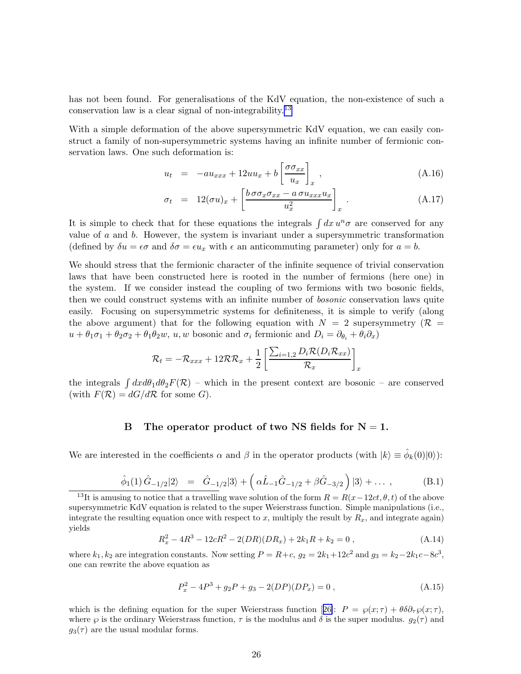has not been found. For generalisations of the KdV equation, the non-existence of such a conservation law is a clear signal of non-integrability.<sup>13</sup>

With a simple deformation of the above supersymmetric KdV equation, we can easily construct a family of non-supersymmetric systems having an infinite number of fermionic conservation laws. One such deformation is:

$$
u_t = -au_{xxx} + 12uu_x + b\left[\frac{\sigma\sigma_{xx}}{u_x}\right]_x, \qquad (A.16)
$$

$$
\sigma_t = 12(\sigma u)_x + \left[\frac{b \sigma \sigma_x \sigma_{xx} - a \sigma u_{xxx} u_x}{u_x^2}\right]_x.
$$
\n(A.17)

It is simple to check that for these equations the integrals  $\int dx u^n \sigma$  are conserved for any value of  $a$  and  $b$ . However, the system is invariant under a supersymmetric transformation (defined by  $\delta u = \epsilon \sigma$  and  $\delta \sigma = \epsilon u_x$  with  $\epsilon$  an anticommuting parameter) only for  $a = b$ .

We should stress that the fermionic character of the infinite sequence of trivial conservation laws that have been constructed here is rooted in the number of fermions (here one) in the system. If we consider instead the coupling of two fermions with two bosonic fields, then we could construct systems with an infinite number of bosonic conservation laws quite easily. Focusing on supersymmetric systems for definiteness, it is simple to verify (along the above argument) that for the following equation with  $N = 2$  supersymmetry ( $\mathcal{R} =$  $u + \theta_1\sigma_1 + \theta_2\sigma_2 + \theta_1\theta_2w$ ,  $u, w$  bosonic and  $\sigma_i$  fermionic and  $D_i = \partial_{\theta_i} + \theta_i\partial_x$ 

$$
\mathcal{R}_t = -\mathcal{R}_{xxx} + 12\mathcal{R}\mathcal{R}_x + \frac{1}{2} \left[ \frac{\sum_{i=1,2} D_i \mathcal{R}(D_i \mathcal{R}_{xx})}{\mathcal{R}_x} \right]_x
$$

the integrals  $\int dx d\theta_1 d\theta_2 F(\mathcal{R})$  – which in the present context are bosonic – are conserved (with  $F(\mathcal{R}) = dG/d\mathcal{R}$  for some G).

#### B The operator product of two NS fields for  $N = 1$ .

We are interested in the coefficients  $\alpha$  and  $\beta$  in the operator products (with  $|k\rangle \equiv \hat{\phi}_k(0)|0\rangle$ ):

$$
\hat{\phi}_1(1)\,\hat{G}_{-1/2}|2\rangle = \hat{G}_{-1/2}|3\rangle + \left(\alpha\hat{L}_{-1}\hat{G}_{-1/2} + \beta\hat{G}_{-3/2}\right)|3\rangle + \dots , \tag{B.1}
$$

$$
R_x^2 - 4R^3 - 12cR^2 - 2(DR)(DR_x) + 2k_1R + k_2 = 0,
$$
\n(A.14)

where  $k_1, k_2$  are integration constants. Now setting  $P = R + c$ ,  $g_2 = 2k_1 + 12c^2$  and  $g_3 = k_2 - 2k_1c - 8c^3$ , one can rewrite the above equation as

$$
P_x^2 - 4P^3 + g_2P + g_3 - 2(DP)(DP_x) = 0,
$$
\n(A.15)

whichis the defining equation for the super Weierstrass function [[26\]](#page-30-0):  $P = \wp(x; \tau) + \theta \delta \partial_{\tau} \wp(x; \tau)$ , where  $\wp$  is the ordinary Weierstrass function,  $\tau$  is the modulus and  $\delta$  is the super modulus.  $g_2(\tau)$  and  $g_3(\tau)$  are the usual modular forms.

<sup>&</sup>lt;sup>13</sup>It is amusing to notice that a travelling wave solution of the form  $R = R(x-12ct, \theta, t)$  of the above supersymmetric KdV equation is related to the super Weierstrass function. Simple manipulations (i.e., integrate the resulting equation once with respect to x, multiply the result by  $R_x$ , and integrate again) yields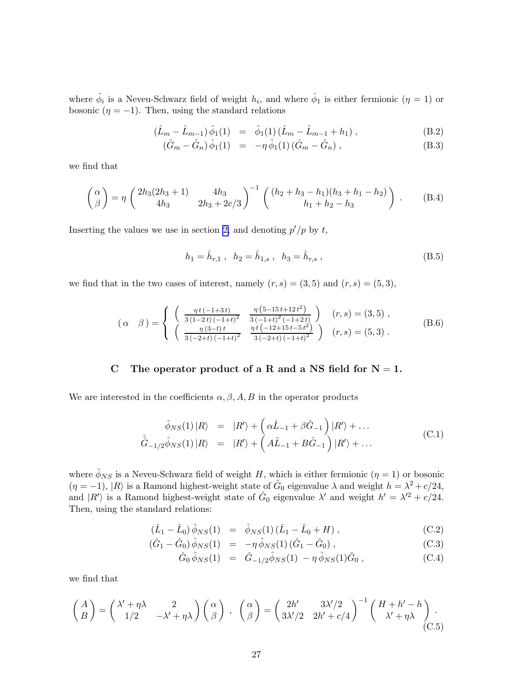<span id="page-27-0"></span>where  $\hat{\phi}_i$  is a Neveu-Schwarz field of weight  $h_i$ , and where  $\hat{\phi}_1$  is either fermionic  $(\eta = 1)$  or bosonic ( $\eta = -1$ ). Then, using the standard relations

$$
(\hat{L}_m - \hat{L}_{m-1}) \hat{\phi}_1(1) = \hat{\phi}_1(1) (\hat{L}_m - \hat{L}_{m-1} + h_1), \qquad (B.2)
$$

$$
(\hat{G}_m - \hat{G}_n) \hat{\phi}_1(1) = -\eta \hat{\phi}_1(1) (\hat{G}_m - \hat{G}_n) , \qquad (B.3)
$$

we find that

$$
\begin{pmatrix}\n\alpha \\
\beta\n\end{pmatrix} = \eta \begin{pmatrix}\n2h_3(2h_3 + 1) & 4h_3 \\
4h_3 & 2h_3 + 2c/3\n\end{pmatrix}^{-1} \begin{pmatrix}\n(h_2 + h_3 - h_1)(h_3 + h_1 - h_2) \\
h_1 + h_2 - h_3\n\end{pmatrix} .
$$
\n(B.4)

Inserting the values we use in section [2,](#page-3-0) and denoting  $p'/p$  by t,

$$
h_1 = \hat{h}_{r,1} , \quad h_2 = \hat{h}_{1,s} , \quad h_3 = \hat{h}_{r,s} , \tag{B.5}
$$

we find that in the two cases of interest, namely  $(r, s) = (3, 5)$  and  $(r, s) = (5, 3)$ ,

$$
\begin{pmatrix}\n\alpha & \beta\n\end{pmatrix} = \begin{cases}\n\begin{pmatrix}\n\frac{\eta t (-1+3t)}{3(1-2t)(-1+t)^2} & \frac{\eta (5-15t+12t^2)}{3(-1+t)^2(-1+2t)}\n\end{pmatrix} & (r,s) = (3,5) ,\\
\begin{pmatrix}\n\frac{\eta (3-t)t}{3(-2+t)(-1+t)^2} & \frac{\eta t (-12+15t-5t^2)}{3(-2+t)(-1+t)^2}\n\end{pmatrix} & (r,s) = (5,3) .\n\end{cases}
$$
\n(B.6)

### C The operator product of a R and a NS field for  $N = 1$ .

We are interested in the coefficients  $\alpha, \beta, A, B$  in the operator products

$$
\hat{\phi}_{NS}(1) |R\rangle = |R'\rangle + \left(\alpha \hat{L}_{-1} + \beta \hat{G}_{-1}\right) |R'\rangle + \dots
$$
\n
$$
\hat{G}_{-1/2} \hat{\phi}_{NS}(1) |R\rangle = |R'\rangle + \left(A\hat{L}_{-1} + B\hat{G}_{-1}\right) |R'\rangle + \dots
$$
\n(C.1)

where  $\hat{\phi}_{NS}$  is a Neveu-Schwarz field of weight H, which is either fermionic  $(\eta = 1)$  or bosonic  $(\eta = -1)$ ,  $|R\rangle$  is a Ramond highest-weight state of  $\hat{G}_0$  eigenvalue  $\lambda$  and weight  $h = \lambda^2 + c/24$ , and  $|R'\rangle$  is a Ramond highest-weight state of  $\hat{G}_0$  eigenvalue  $\lambda'$  and weight  $h' = \lambda'^2 + c/24$ . Then, using the standard relations:

$$
(\hat{L}_1 - \hat{L}_0) \hat{\phi}_{NS}(1) = \hat{\phi}_{NS}(1) (\hat{L}_1 - \hat{L}_0 + H), \qquad (C.2)
$$

$$
(\hat{G}_1 - \hat{G}_0) \hat{\phi}_{NS}(1) = -\eta \hat{\phi}_{NS}(1) (\hat{G}_1 - \hat{G}_0) , \qquad (C.3)
$$

$$
\hat{G}_0 \hat{\phi}_{NS}(1) = \hat{G}_{-1/2} \hat{\phi}_{NS}(1) - \eta \hat{\phi}_{NS}(1) \hat{G}_0 , \qquad (C.4)
$$

we find that

$$
\begin{pmatrix} A \\ B \end{pmatrix} = \begin{pmatrix} \lambda' + \eta \lambda & 2 \\ 1/2 & -\lambda' + \eta \lambda \end{pmatrix} \begin{pmatrix} \alpha \\ \beta \end{pmatrix} , \quad \begin{pmatrix} \alpha \\ \beta \end{pmatrix} = \begin{pmatrix} 2h' & 3\lambda'/2 \\ 3\lambda'/2 & 2h' + c/4 \end{pmatrix}^{-1} \begin{pmatrix} H + h' - h \\ \lambda' + \eta \lambda \end{pmatrix} . \tag{C.5}
$$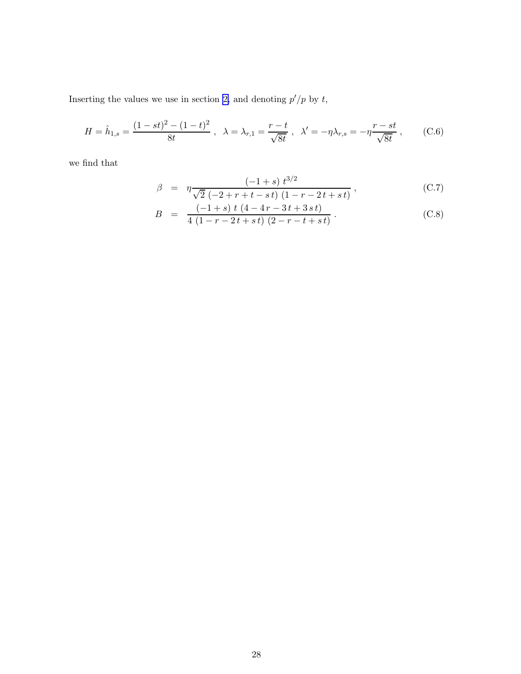<span id="page-28-0"></span>Inserting the values we use in section [2,](#page-3-0) and denoting  $p'/p$  by t,

$$
H = \hat{h}_{1,s} = \frac{(1 - st)^2 - (1 - t)^2}{8t}, \quad \lambda = \lambda_{r,1} = \frac{r - t}{\sqrt{8t}}, \quad \lambda' = -\eta \lambda_{r,s} = -\eta \frac{r - st}{\sqrt{8t}}, \quad (C.6)
$$

we find that

$$
\beta = \eta \frac{(-1+s) t^{3/2}}{\sqrt{2} (-2+r+t-st) (1-r-2t+st)}, \qquad (C.7)
$$

$$
B = \frac{(-1+s) t (4-4r-3t+3st)}{4 (1-r-2t+st) (2-r-t+st)}.
$$
 (C.8)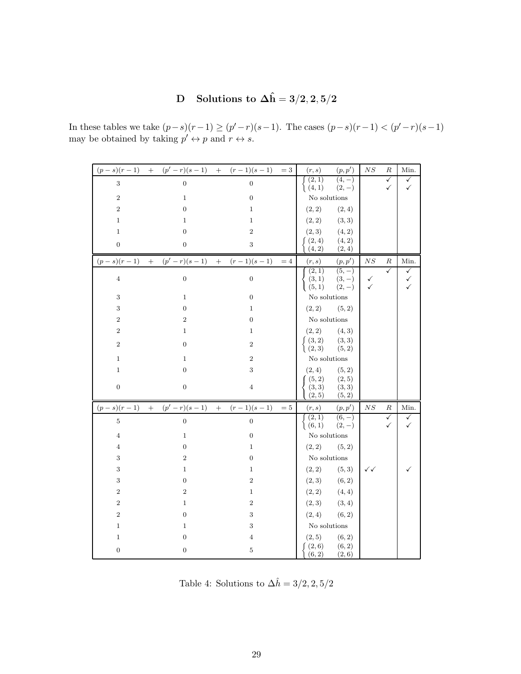# D Solutions to  $\Delta \hat{\mathbf{h}} = 3/2, 2, 5/2$

|                  | $(p-s)(r-1)$ + $(p'-r)(s-1)$ + $(r-1)(s-1)$ = 3 |                  |        | (r,s)                                                         | (p, p')                        | $_{NS}$      | R                 | Min.                   |
|------------------|-------------------------------------------------|------------------|--------|---------------------------------------------------------------|--------------------------------|--------------|-------------------|------------------------|
| $\sqrt{3}$       | $\overline{0}$                                  | $\overline{0}$   |        | (2,1)<br>(4,1)                                                | $(4, -)$<br>$(2,-)$            |              | $\checkmark$<br>✓ | ✓<br>✓                 |
| $\sqrt{2}$       | 1                                               | $\boldsymbol{0}$ |        | No solutions                                                  |                                |              |                   |                        |
| $\overline{2}$   | $\boldsymbol{0}$                                | $\mathbf{1}$     |        | (2, 2)                                                        | (2, 4)                         |              |                   |                        |
| $\mathbf{1}$     | 1                                               | $\mathbf 1$      |        | (2, 2)                                                        | (3, 3)                         |              |                   |                        |
| $\mathbf{1}$     | $\boldsymbol{0}$                                | $\overline{2}$   |        | (2, 3)                                                        | (4, 2)                         |              |                   |                        |
| $\boldsymbol{0}$ | $\boldsymbol{0}$                                | 3                |        | (2,4)<br>(4, 2)                                               | (4, 2)<br>(2, 4)               |              |                   |                        |
|                  | $(p-s)(r-1)$ + $(p'-r)(s-1)$ + $(r-1)(s-1)$     |                  | $=4$   | (r,s)                                                         | (p, p')                        | $N\sqrt{S}$  | R                 | Min.                   |
| $\overline{4}$   | $\boldsymbol{0}$                                | 0                |        | (2,1)<br>$(3, 1)$<br>$(5, 1)$                                 | $(5, -)$<br>$(3,-)$<br>$(2,-)$ | ✓<br>✓       | $\checkmark$      | $\checkmark$<br>✓<br>✓ |
| 3                | 1                                               | $\boldsymbol{0}$ |        | No solutions                                                  |                                |              |                   |                        |
| $\,3$            | $\boldsymbol{0}$                                | $\mathbf{1}$     |        | (2, 2)                                                        | (5, 2)                         |              |                   |                        |
| $\overline{2}$   | $\boldsymbol{2}$                                | 0                |        | No solutions                                                  |                                |              |                   |                        |
| $\boldsymbol{2}$ | 1                                               | $\mathbf{1}$     |        | (2, 2)                                                        | (4, 3)                         |              |                   |                        |
| $\boldsymbol{2}$ | 0                                               | $\overline{2}$   |        | $\left\{ \begin{array}{ll} (3,2) \ (2,3) \end{array} \right.$ | (3, 3)<br>(5, 2)               |              |                   |                        |
| $\mathbf{1}$     | $\mathbf 1$                                     | $\boldsymbol{2}$ |        | No solutions                                                  |                                |              |                   |                        |
| $\mathbf{1}$     | $\boldsymbol{0}$                                | 3                |        | (2, 4)                                                        | (5, 2)                         |              |                   |                        |
| $\boldsymbol{0}$ | $\boldsymbol{0}$                                | $\overline{4}$   |        | (5, 2)<br>(3, 3)<br>(2, 5)                                    | (2, 5)<br>(3, 3)<br>(5, 2)     |              |                   |                        |
|                  | $(p-s)(r-1)$ + $(p'-r)(s-1)$ + $(r-1)(s-1)$     |                  | $=5\,$ | (r,s)                                                         | (p, p')                        | $_{NS}$      | R                 | Min.                   |
| $\overline{5}$   | $\overline{0}$                                  | $\boldsymbol{0}$ |        | (2,1)<br>(6,1)                                                | $(6, -)$<br>$(2,-)$            |              | ✓<br>$\checkmark$ | ✓<br>✓                 |
| $\overline{4}$   | $\mathbf{1}$                                    | $\boldsymbol{0}$ |        | No solutions                                                  |                                |              |                   |                        |
| $\overline{4}$   | $\boldsymbol{0}$                                | $\mathbf{1}$     |        | $(2,2)$ $(5,2)$                                               |                                |              |                   |                        |
| 3                | $\overline{2}$                                  | 0                |        | No solutions                                                  |                                |              |                   |                        |
| 3                | 1                                               | $\mathbf 1$      |        | (2, 2)                                                        | (5, 3)                         | $\checkmark$ |                   |                        |
| 3                | $\boldsymbol{0}$                                | $\boldsymbol{2}$ |        | (2, 3)                                                        | (6, 2)                         |              |                   |                        |
| $\,2$            | $\boldsymbol{2}$                                | $\mathbf{1}$     |        | (2, 2)                                                        | (4, 4)                         |              |                   |                        |
| $\boldsymbol{2}$ | $\mathbf{1}$                                    | $\overline{2}$   |        | (2, 3)                                                        | (3, 4)                         |              |                   |                        |
| $\overline{2}$   | $\boldsymbol{0}$                                | 3                |        | (2, 4)                                                        | (6, 2)                         |              |                   |                        |
| $\mathbf{1}$     | $\mathbf 1$                                     | 3                |        | No solutions                                                  |                                |              |                   |                        |
| $\mathbf{1}$     | 0                                               | $\overline{4}$   |        | (2, 5)<br>(2,6)                                               | (6, 2)<br>(6, 2)               |              |                   |                        |
| $\boldsymbol{0}$ | $\boldsymbol{0}$                                | 5                |        | (6, 2)                                                        | (2, 6)                         |              |                   |                        |

In these tables we take  $(p-s)(r-1)$  ≥  $(p'-r)(s-1)$ . The cases  $(p-s)(r-1)$  <  $(p'-r)(s-1)$ may be obtained by taking  $p' \leftrightarrow p$  and  $r \leftrightarrow s$ .

Table 4: Solutions to  $\Delta \hat{h} = 3/2, 2, 5/2$